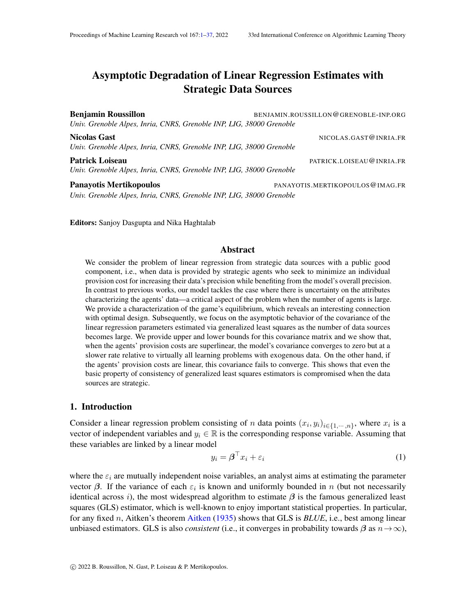## <span id="page-0-0"></span>Asymptotic Degradation of Linear Regression Estimates with Strategic Data Sources

Benjamin Roussillon BENJAMIN.ROUSSILLON@GRENOBLE-INP.ORG *Univ. Grenoble Alpes, Inria, CNRS, Grenoble INP, LIG, 38000 Grenoble* Nicolas Gast NICOLAS.GAST@INRIA.FR

*Univ. Grenoble Alpes, Inria, CNRS, Grenoble INP, LIG, 38000 Grenoble* Patrick Loiseau **Patrick Loiseau** Patrick LOISEAU (PATRICK LOISEAU (PATRICK LOISEAU (PATRICK LOISEAU (PATRICK LOISEAU (PATRICK LOISEAU (PATRICK LOISEAU (PATRICK LOISEAU (PATRICK LOISEAU (PATRICK LOISEAU (PATRICK LOISEAU (P *Univ. Grenoble Alpes, Inria, CNRS, Grenoble INP, LIG, 38000 Grenoble*

Panayotis Mertikopoulos **PANAYOTIS.MERTIKOPOULOS@IMAG.FR** 

*Univ. Grenoble Alpes, Inria, CNRS, Grenoble INP, LIG, 38000 Grenoble*

Editors: Sanjoy Dasgupta and Nika Haghtalab

#### Abstract

We consider the problem of linear regression from strategic data sources with a public good component, i.e., when data is provided by strategic agents who seek to minimize an individual provision cost for increasing their data's precision while benefiting from the model's overall precision. In contrast to previous works, our model tackles the case where there is uncertainty on the attributes characterizing the agents' data—a critical aspect of the problem when the number of agents is large. We provide a characterization of the game's equilibrium, which reveals an interesting connection with optimal design. Subsequently, we focus on the asymptotic behavior of the covariance of the linear regression parameters estimated via generalized least squares as the number of data sources becomes large. We provide upper and lower bounds for this covariance matrix and we show that, when the agents' provision costs are superlinear, the model's covariance converges to zero but at a slower rate relative to virtually all learning problems with exogenous data. On the other hand, if the agents' provision costs are linear, this covariance fails to converge. This shows that even the basic property of consistency of generalized least squares estimators is compromised when the data sources are strategic.

#### 1. Introduction

Consider a linear regression problem consisting of n data points  $(x_i, y_i)_{i \in \{1, \dots, n\}}$ , where  $x_i$  is a vector of independent variables and  $y_i \in \mathbb{R}$  is the corresponding response variable. Assuming that these variables are linked by a linear model

<span id="page-0-1"></span>
$$
y_i = \boldsymbol{\beta}^\top x_i + \varepsilon_i \tag{1}
$$

where the  $\varepsilon_i$  are mutually independent noise variables, an analyst aims at estimating the parameter vector  $\beta$ . If the variance of each  $\varepsilon_i$  is known and uniformly bounded in n (but not necessarily identical across i), the most widespread algorithm to estimate  $\beta$  is the famous generalized least squares (GLS) estimator, which is well-known to enjoy important statistical properties. In particular, for any fixed n, Aitken's theorem [Aitken](#page-12-0) [\(1935\)](#page-12-0) shows that GLS is *BLUE*, i.e., best among linear unbiased estimators. GLS is also *consistent* (i.e., it converges in probability towards  $\beta$  as  $n \rightarrow \infty$ ),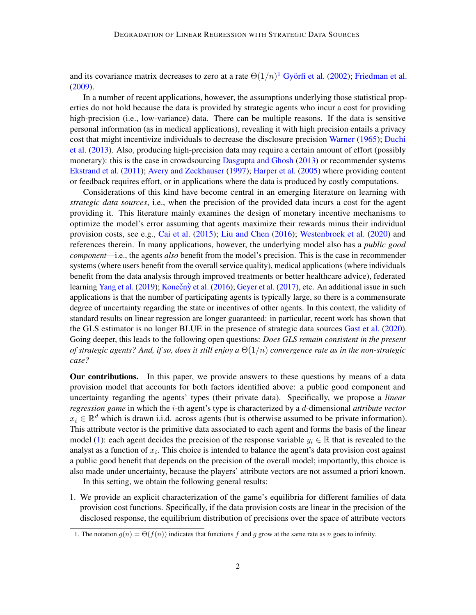and its covariance matrix decreases to zero at a rate  $\Theta(1/n)^1$  $\Theta(1/n)^1$  $\Theta(1/n)^1$  Györfi et al. [\(2002\)](#page-14-0); [Friedman et al.](#page-14-1) [\(2009\)](#page-14-1).

In a number of recent applications, however, the assumptions underlying those statistical properties do not hold because the data is provided by strategic agents who incur a cost for providing high-precision (i.e., low-variance) data. There can be multiple reasons. If the data is sensitive personal information (as in medical applications), revealing it with high precision entails a privacy cost that might incentivize individuals to decrease the disclosure precision [Warner](#page-15-0) [\(1965\)](#page-15-0); [Duchi](#page-13-0) [et al.](#page-13-0) [\(2013\)](#page-13-0). Also, producing high-precision data may require a certain amount of effort (possibly monetary): this is the case in crowdsourcing [Dasgupta and Ghosh](#page-13-1) [\(2013\)](#page-13-1) or recommender systems [Ekstrand et al.](#page-13-2) [\(2011\)](#page-13-2); [Avery and Zeckhauser](#page-12-1) [\(1997\)](#page-12-1); [Harper et al.](#page-14-2) [\(2005\)](#page-14-2) where providing content or feedback requires effort, or in applications where the data is produced by costly computations.

Considerations of this kind have become central in an emerging literature on learning with *strategic data sources*, i.e., when the precision of the provided data incurs a cost for the agent providing it. This literature mainly examines the design of monetary incentive mechanisms to optimize the model's error assuming that agents maximize their rewards minus their individual provision costs, see e.g., [Cai et al.](#page-13-3) [\(2015\)](#page-13-3); [Liu and Chen](#page-14-3) [\(2016\)](#page-14-3); [Westenbroek et al.](#page-15-1) [\(2020\)](#page-15-1) and references therein. In many applications, however, the underlying model also has a *public good component*—i.e., the agents *also* benefit from the model's precision. This is the case in recommender systems (where users benefit from the overall service quality), medical applications (where individuals benefit from the data analysis through improved treatments or better healthcare advice), federated learning [Yang et al.](#page-15-2) [\(2019\)](#page-15-2); Konečnỳ et al. [\(2016\)](#page-14-4); [Geyer et al.](#page-14-5) [\(2017\)](#page-14-5), etc. An additional issue in such applications is that the number of participating agents is typically large, so there is a commensurate degree of uncertainty regarding the state or incentives of other agents. In this context, the validity of standard results on linear regression are longer guaranteed: in particular, recent work has shown that the GLS estimator is no longer BLUE in the presence of strategic data sources [Gast et al.](#page-14-6) [\(2020\)](#page-14-6). Going deeper, this leads to the following open questions: *Does GLS remain consistent in the present of strategic agents? And, if so, does it still enjoy a* Θ(1/n) *convergence rate as in the non-strategic case?*

Our contributions. In this paper, we provide answers to these questions by means of a data provision model that accounts for both factors identified above: a public good component and uncertainty regarding the agents' types (their private data). Specifically, we propose a *linear regression game* in which the i-th agent's type is characterized by a d-dimensional *attribute vector*  $x_i \in \mathbb{R}^d$  which is drawn i.i.d. across agents (but is otherwise assumed to be private information). This attribute vector is the primitive data associated to each agent and forms the basis of the linear model [\(1\)](#page-0-1): each agent decides the precision of the response variable  $y_i \in \mathbb{R}$  that is revealed to the analyst as a function of  $x_i$ . This choice is intended to balance the agent's data provision cost against a public good benefit that depends on the precision of the overall model; importantly, this choice is also made under uncertainty, because the players' attribute vectors are not assumed a priori known.

In this setting, we obtain the following general results:

1. We provide an explicit characterization of the game's equilibria for different families of data provision cost functions. Specifically, if the data provision costs are linear in the precision of the disclosed response, the equilibrium distribution of precisions over the space of attribute vectors

<span id="page-1-0"></span><sup>1.</sup> The notation  $g(n) = \Theta(f(n))$  indicates that functions f and g grow at the same rate as n goes to infinity.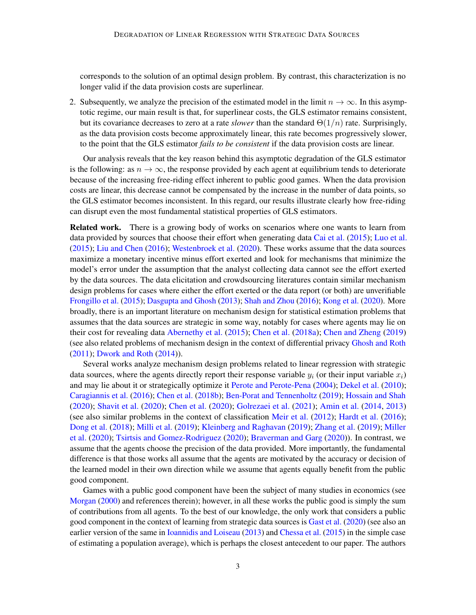corresponds to the solution of an optimal design problem. By contrast, this characterization is no longer valid if the data provision costs are superlinear.

2. Subsequently, we analyze the precision of the estimated model in the limit  $n \to \infty$ . In this asymptotic regime, our main result is that, for superlinear costs, the GLS estimator remains consistent, but its covariance decreases to zero at a rate *slower* than the standard  $\Theta(1/n)$  rate. Surprisingly, as the data provision costs become approximately linear, this rate becomes progressively slower, to the point that the GLS estimator *fails to be consistent* if the data provision costs are linear.

Our analysis reveals that the key reason behind this asymptotic degradation of the GLS estimator is the following: as  $n \to \infty$ , the response provided by each agent at equilibrium tends to deteriorate because of the increasing free-riding effect inherent to public good games. When the data provision costs are linear, this decrease cannot be compensated by the increase in the number of data points, so the GLS estimator becomes inconsistent. In this regard, our results illustrate clearly how free-riding can disrupt even the most fundamental statistical properties of GLS estimators.

Related work. There is a growing body of works on scenarios where one wants to learn from data provided by sources that choose their effort when generating data [Cai et al.](#page-13-3) [\(2015\)](#page-13-3); [Luo et al.](#page-15-3) [\(2015\)](#page-15-3); [Liu and Chen](#page-14-3) [\(2016\)](#page-14-3); [Westenbroek et al.](#page-15-1) [\(2020\)](#page-15-1). These works assume that the data sources maximize a monetary incentive minus effort exerted and look for mechanisms that minimize the model's error under the assumption that the analyst collecting data cannot see the effort exerted by the data sources. The data elicitation and crowdsourcing literatures contain similar mechanism design problems for cases where either the effort exerted or the data report (or both) are unverifiable [Frongillo et al.](#page-14-7) [\(2015\)](#page-14-7); [Dasgupta and Ghosh](#page-13-1) [\(2013\)](#page-13-1); [Shah and Zhou](#page-15-4) [\(2016\)](#page-15-4); [Kong et al.](#page-14-8) [\(2020\)](#page-14-8). More broadly, there is an important literature on mechanism design for statistical estimation problems that assumes that the data sources are strategic in some way, notably for cases where agents may lie on their cost for revealing data [Abernethy et al.](#page-12-2) [\(2015\)](#page-12-2); [Chen et al.](#page-13-4) [\(2018a\)](#page-13-4); [Chen and Zheng](#page-13-5) [\(2019\)](#page-13-5) (see also related problems of mechanism design in the context of differential privacy [Ghosh and Roth](#page-14-9) [\(2011\)](#page-14-9); [Dwork and Roth](#page-13-6) [\(2014\)](#page-13-6)).

Several works analyze mechanism design problems related to linear regression with strategic data sources, where the agents directly report their response variable  $y_i$  (or their input variable  $x_i$ ) and may lie about it or strategically optimize it [Perote and Perote-Pena](#page-15-5) [\(2004\)](#page-15-5); [Dekel et al.](#page-13-7) [\(2010\)](#page-13-7); [Caragiannis et al.](#page-13-8) [\(2016\)](#page-13-8); [Chen et al.](#page-13-9) [\(2018b\)](#page-13-9); [Ben-Porat and Tennenholtz](#page-12-3) [\(2019\)](#page-12-3); [Hossain and Shah](#page-14-10) [\(2020\)](#page-14-10); [Shavit et al.](#page-15-6) [\(2020\)](#page-15-6); [Chen et al.](#page-13-10) [\(2020\)](#page-13-10); [Golrezaei et al.](#page-14-11) [\(2021\)](#page-14-11); [Amin et al.](#page-12-4) [\(2014,](#page-12-4) [2013\)](#page-12-5) (see also similar problems in the context of classification [Meir et al.](#page-15-7) [\(2012\)](#page-15-7); [Hardt et al.](#page-14-12) [\(2016\)](#page-14-12); [Dong et al.](#page-13-11) [\(2018\)](#page-13-11); [Milli et al.](#page-15-8) [\(2019\)](#page-15-8); [Kleinberg and Raghavan](#page-14-13) [\(2019\)](#page-14-13); [Zhang et al.](#page-15-9) [\(2019\)](#page-15-9); [Miller](#page-15-10) [et al.](#page-15-10) [\(2020\)](#page-15-10); [Tsirtsis and Gomez-Rodriguez](#page-15-11) [\(2020\)](#page-15-11); [Braverman and Garg](#page-12-6) [\(2020\)](#page-12-6)). In contrast, we assume that the agents choose the precision of the data provided. More importantly, the fundamental difference is that those works all assume that the agents are motivated by the accuracy or decision of the learned model in their own direction while we assume that agents equally benefit from the public good component.

Games with a public good component have been the subject of many studies in economics (see [Morgan](#page-15-12) [\(2000\)](#page-15-12) and references therein); however, in all these works the public good is simply the sum of contributions from all agents. To the best of our knowledge, the only work that considers a public good component in the context of learning from strategic data sources is [Gast et al.](#page-14-6) [\(2020\)](#page-14-6) (see also an earlier version of the same in [Ioannidis and Loiseau](#page-14-14) [\(2013\)](#page-14-14) and [Chessa et al.](#page-13-12) [\(2015\)](#page-13-12) in the simple case of estimating a population average), which is perhaps the closest antecedent to our paper. The authors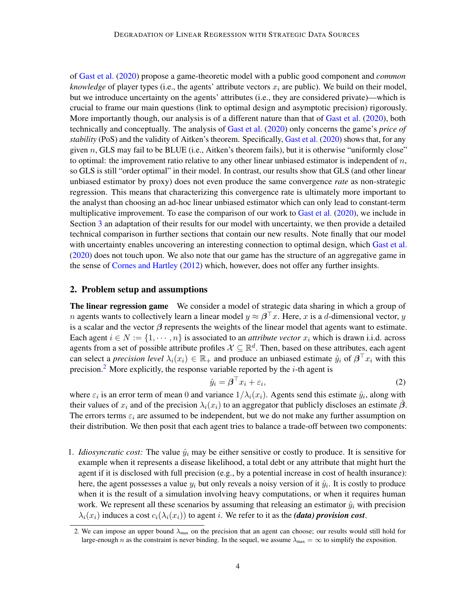of [Gast et al.](#page-14-6) [\(2020\)](#page-14-6) propose a game-theoretic model with a public good component and *common knowledge* of player types (i.e., the agents' attribute vectors  $x_i$  are public). We build on their model, but we introduce uncertainty on the agents' attributes (i.e., they are considered private)—which is crucial to frame our main questions (link to optimal design and asymptotic precision) rigorously. More importantly though, our analysis is of a different nature than that of [Gast et al.](#page-14-6) [\(2020\)](#page-14-6), both technically and conceptually. The analysis of [Gast et al.](#page-14-6) [\(2020\)](#page-14-6) only concerns the game's *price of stability* (PoS) and the validity of Aitken's theorem. Specifically, [Gast et al.](#page-14-6) [\(2020\)](#page-14-6) shows that, for any given  $n$ , GLS may fail to be BLUE (i.e., Aitken's theorem fails), but it is otherwise "uniformly close" to optimal: the improvement ratio relative to any other linear unbiased estimator is independent of  $n$ , so GLS is still "order optimal" in their model. In contrast, our results show that GLS (and other linear unbiased estimator by proxy) does not even produce the same convergence *rate* as non-strategic regression. This means that characterizing this convergence rate is ultimately more important to the analyst than choosing an ad-hoc linear unbiased estimator which can only lead to constant-term multiplicative improvement. To ease the comparison of our work to [Gast et al.](#page-14-6) [\(2020\)](#page-14-6), we include in Section [3](#page-6-0) an adaptation of their results for our model with uncertainty, we then provide a detailed technical comparison in further sections that contain our new results. Note finally that our model with uncertainty enables uncovering an interesting connection to optimal design, which [Gast et al.](#page-14-6) [\(2020\)](#page-14-6) does not touch upon. We also note that our game has the structure of an aggregative game in the sense of [Cornes and Hartley](#page-13-13) [\(2012\)](#page-13-13) which, however, does not offer any further insights.

#### 2. Problem setup and assumptions

The linear regression game We consider a model of strategic data sharing in which a group of *n* agents wants to collectively learn a linear model  $y \approx \beta^{\top} x$ . Here, x is a d-dimensional vector, y is a scalar and the vector  $\beta$  represents the weights of the linear model that agents want to estimate. Each agent  $i \in N := \{1, \dots, n\}$  is associated to an *attribute vector*  $x_i$  which is drawn i.i.d. across agents from a set of possible attribute profiles  $X \subseteq \mathbb{R}^d$ . Then, based on these attributes, each agent can select a *precision level*  $\lambda_i(x_i) \in \mathbb{R}_+$  and produce an unbiased estimate  $\hat{y}_i$  of  $\beta^{\top} x_i$  with this precision.<sup>[2](#page-3-0)</sup> More explicitly, the response variable reported by the  $i$ -th agent is

$$
\hat{y}_i = \boldsymbol{\beta}^\top x_i + \varepsilon_i,\tag{2}
$$

where  $\varepsilon_i$  is an error term of mean 0 and variance  $1/\lambda_i(x_i)$ . Agents send this estimate  $\hat{y}_i$ , along with their values of  $x_i$  and of the precision  $\lambda_i(x_i)$  to an aggregator that publicly discloses an estimate  $\hat{\beta}$ . The errors terms  $\varepsilon_i$  are assumed to be independent, but we do not make any further assumption on their distribution. We then posit that each agent tries to balance a trade-off between two components:

1. *Idiosyncratic cost:* The value  $\hat{y}_i$  may be either sensitive or costly to produce. It is sensitive for example when it represents a disease likelihood, a total debt or any attribute that might hurt the agent if it is disclosed with full precision (e.g., by a potential increase in cost of health insurance): here, the agent possesses a value  $y_i$  but only reveals a noisy version of it  $\hat{y}_i$ . It is costly to produce when it is the result of a simulation involving heavy computations, or when it requires human work. We represent all these scenarios by assuming that releasing an estimator  $\hat{y}_i$  with precision  $\lambda_i(x_i)$  induces a cost  $c_i(\lambda_i(x_i))$  to agent i. We refer to it as the *(data) provision cost*.

<span id="page-3-0"></span><sup>2.</sup> We can impose an upper bound  $\lambda_{\text{max}}$  on the precision that an agent can choose; our results would still hold for large-enough n as the constraint is never binding. In the sequel, we assume  $\lambda_{\text{max}} = \infty$  to simplify the exposition.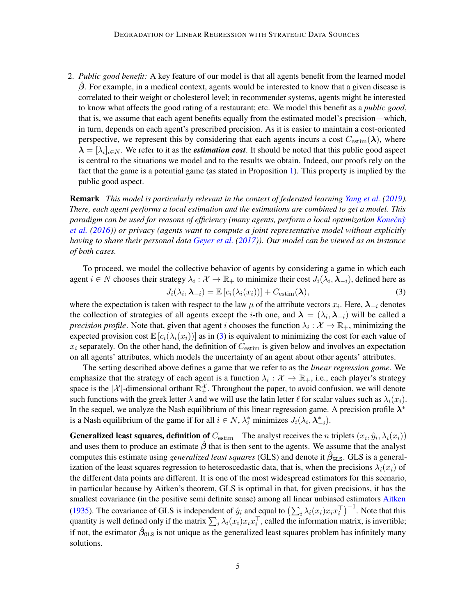2. *Public good benefit:* A key feature of our model is that all agents benefit from the learned model  $\beta$ . For example, in a medical context, agents would be interested to know that a given disease is correlated to their weight or cholesterol level; in recommender systems, agents might be interested to know what affects the good rating of a restaurant; etc. We model this benefit as a *public good*, that is, we assume that each agent benefits equally from the estimated model's precision—which, in turn, depends on each agent's prescribed precision. As it is easier to maintain a cost-oriented perspective, we represent this by considering that each agents incurs a cost  $C_{estim}(\lambda)$ , where  $\bm{\lambda} = [\lambda_i]_{i \in N}$ . We refer to it as the *estimation cost*. It should be noted that this public good aspect is central to the situations we model and to the results we obtain. Indeed, our proofs rely on the fact that the game is a potential game (as stated in Proposition [1\)](#page-6-1). This property is implied by the public good aspect.

Remark *This model is particularly relevant in the context of federated learning [Yang et al.](#page-15-2) [\(2019\)](#page-15-2). There, each agent performs a local estimation and the estimations are combined to get a model. This paradigm can be used for reasons of efficiency (many agents, perform a local optimization Konečný [et al.](#page-14-4) [\(2016\)](#page-14-4)) or privacy (agents want to compute a joint representative model without explicitly having to share their personal data [Geyer et al.](#page-14-5) [\(2017\)](#page-14-5)). Our model can be viewed as an instance of both cases.*

<span id="page-4-0"></span>To proceed, we model the collective behavior of agents by considering a game in which each agent  $i \in N$  chooses their strategy  $\lambda_i: \mathcal{X} \to \mathbb{R}_+$  to minimize their cost  $J_i(\lambda_i, \lambda_{-i})$ , defined here as  $J_i(\lambda_i, \boldsymbol{\lambda}_{-i}) = \mathbb{E}\left[c_i(\lambda_i(x_i))\right] + C_{\text{estim}}(\boldsymbol{\lambda}),$  (3)

where the expectation is taken with respect to the law  $\mu$  of the attribute vectors  $x_i$ . Here,  $\lambda_{-i}$  denotes the collection of strategies of all agents except the *i*-th one, and  $\lambda = (\lambda_i, \lambda_{-i})$  will be called a *precision profile*. Note that, given that agent *i* chooses the function  $\lambda_i : \mathcal{X} \to \mathbb{R}_+$ , minimizing the expected provision cost  $\mathbb{E}\left[c_i(\lambda_i(x_i))\right]$  as in [\(3\)](#page-4-0) is equivalent to minimizing the cost for each value of  $x_i$  separately. On the other hand, the definition of  $C_{\text{estim}}$  is given below and involves an expectation on all agents' attributes, which models the uncertainty of an agent about other agents' attributes.

The setting described above defines a game that we refer to as the *linear regression game*. We emphasize that the strategy of each agent is a function  $\lambda_i : \mathcal{X} \to \mathbb{R}_+$ , i.e., each player's strategy space is the  $|\mathcal{X}|$ -dimensional orthant  $\mathbb{R}_+^{\mathcal{X}}$ . Throughout the paper, to avoid confusion, we will denote such functions with the greek letter  $\lambda$  and we will use the latin letter  $\ell$  for scalar values such as  $\lambda_i(x_i)$ . In the sequel, we analyze the Nash equilibrium of this linear regression game. A precision profile  $\lambda^*$ is a Nash equilibrium of the game if for all  $i \in N$ ,  $\lambda_i^*$  minimizes  $J_i(\lambda_i, \lambda_{-i}^*)$ .

**Generalized least squares, definition of**  $C_{\text{estim}}$  The analyst receives the *n* triplets  $(x_i, \hat{y}_i, \lambda_i(x_i))$ and uses them to produce an estimate  $\hat{\beta}$  that is then sent to the agents. We assume that the analyst computes this estimate using *generalized least squares* (GLS) and denote it  $\hat{\beta}_{\text{GLS}}$ . GLS is a generalization of the least squares regression to heteroscedastic data, that is, when the precisions  $\lambda_i(x_i)$  of the different data points are different. It is one of the most widespread estimators for this scenario, in particular because by Aitken's theorem, GLS is optimal in that, for given precisions, it has the smallest covariance (in the positive semi definite sense) among all linear unbiased estimators [Aitken](#page-12-0) [\(1935\)](#page-12-0). The covariance of GLS is independent of  $\hat{y}_i$  and equal to  $\left(\sum_i \lambda_i(x_i)x_i x_i^\top\right)^{-1}$ . Note that this quantity is well defined only if the matrix  $\sum_i \lambda_i(x_i) x_i x_i^{\top}$ , called the information matrix, is invertible; if not, the estimator  $\hat{\beta}_{\texttt{GLS}}$  is not unique as the generalized least squares problem has infinitely many solutions.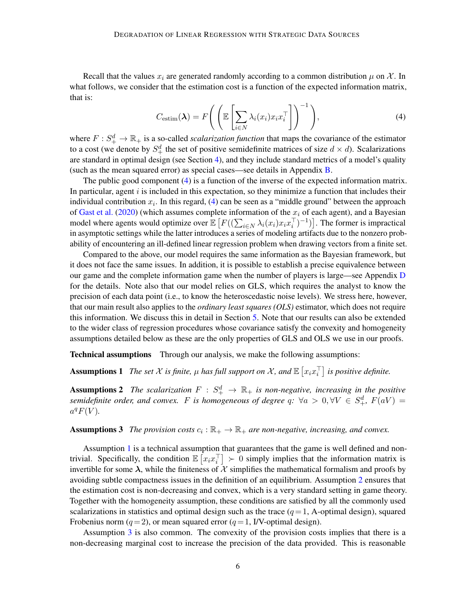Recall that the values  $x_i$  are generated randomly according to a common distribution  $\mu$  on X. In what follows, we consider that the estimation cost is a function of the expected information matrix, that is:

<span id="page-5-0"></span>
$$
C_{\text{estim}}(\boldsymbol{\lambda}) = F\Bigg( \left( \mathbb{E} \left[ \sum_{i \in N} \lambda_i(x_i) x_i x_i^\top \right] \right)^{-1} \Bigg), \tag{4}
$$

where  $F: S^d_+ \to \mathbb{R}_+$  is a so-called *scalarization function* that maps the covariance of the estimator to a cost (we denote by  $S^d_+$  the set of positive semidefinite matrices of size  $d \times d$ ). Scalarizations are standard in optimal design (see Section [4\)](#page-7-0), and they include standard metrics of a model's quality (such as the mean squared error) as special cases—see details in Appendix [B.](#page-16-0)

The public good component [\(4\)](#page-5-0) is a function of the inverse of the expected information matrix. In particular, agent  $i$  is included in this expectation, so they minimize a function that includes their individual contribution  $x_i$ . In this regard, [\(4\)](#page-5-0) can be seen as a "middle ground" between the approach of [Gast et al.](#page-14-6) [\(2020\)](#page-14-6) (which assumes complete information of the  $x_i$  of each agent), and a Bayesian model where agents would optimize over  $\mathbb{E}\left[F((\sum_{i\in N}\lambda_i(x_i)x_ix_i^\top)^{-1})\right]$ . The former is impractical in asymptotic settings while the latter introduces a series of modeling artifacts due to the nonzero probability of encountering an ill-defined linear regression problem when drawing vectors from a finite set.

Compared to the above, our model requires the same information as the Bayesian framework, but it does not face the same issues. In addition, it is possible to establish a precise equivalence between our game and the complete information game when the number of players is large—see Appendix [D](#page-23-0) for the details. Note also that our model relies on GLS, which requires the analyst to know the precision of each data point (i.e., to know the heteroscedastic noise levels). We stress here, however, that our main result also applies to the *ordinary least squares (OLS)* estimator, which does not require this information. We discuss this in detail in Section [5.](#page-8-0) Note that our results can also be extended to the wider class of regression procedures whose covariance satisfy the convexity and homogeneity assumptions detailed below as these are the only properties of GLS and OLS we use in our proofs.

<span id="page-5-1"></span>Technical assumptions Through our analysis, we make the following assumptions:

**Assumptions 1** The set X is finite,  $\mu$  has full support on X, and  $\mathbb{E}\left[x_i x_i^\top\right]$  is positive definite.

<span id="page-5-2"></span>**Assumptions 2** The scalarization  $F : S^d_+ \to \mathbb{R}_+$  is non-negative, increasing in the positive *semidefinite order, and convex.* F *is homogeneous of degree*  $q$ :  $\forall a > 0, \forall V \in S_+^d$ ,  $F(aV) =$  $a^q F(V)$ .

# <span id="page-5-3"></span>**Assumptions 3** The provision costs  $c_i : \mathbb{R}_+ \to \mathbb{R}_+$  are non-negative, increasing, and convex.

Assumption [1](#page-5-1) is a technical assumption that guarantees that the game is well defined and nontrivial. Specifically, the condition  $\mathbb{E}\left[x_i x_i^{\top}\right] > 0$  simply implies that the information matrix is invertible for some  $\lambda$ , while the finiteness of X simplifies the mathematical formalism and proofs by avoiding subtle compactness issues in the definition of an equilibrium. Assumption [2](#page-5-2) ensures that the estimation cost is non-decreasing and convex, which is a very standard setting in game theory. Together with the homogeneity assumption, these conditions are satisfied by all the commonly used scalarizations in statistics and optimal design such as the trace  $(q=1, A$ -optimal design), squared Frobenius norm ( $q = 2$ ), or mean squared error ( $q = 1$ , I/V-optimal design).

Assumption [3](#page-5-3) is also common. The convexity of the provision costs implies that there is a non-decreasing marginal cost to increase the precision of the data provided. This is reasonable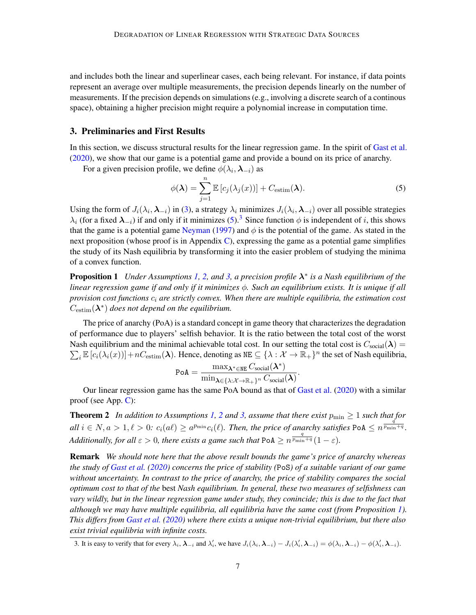and includes both the linear and superlinear cases, each being relevant. For instance, if data points represent an average over multiple measurements, the precision depends linearly on the number of measurements. If the precision depends on simulations (e.g., involving a discrete search of a continous space), obtaining a higher precision might require a polynomial increase in computation time.

#### <span id="page-6-0"></span>3. Preliminaries and First Results

In this section, we discuss structural results for the linear regression game. In the spirit of [Gast et al.](#page-14-6) [\(2020\)](#page-14-6), we show that our game is a potential game and provide a bound on its price of anarchy.

For a given precision profile, we define  $\phi(\lambda_i, \lambda_{-i})$  as

<span id="page-6-2"></span>
$$
\phi(\boldsymbol{\lambda}) = \sum_{j=1}^{n} \mathbb{E}\left[c_j(\lambda_j(x))\right] + C_{\text{estim}}(\boldsymbol{\lambda}).
$$
\n(5)

Using the form of  $J_i(\lambda_i, \lambda_{-i})$  in [\(3\)](#page-4-0), a strategy  $\lambda_i$  minimizes  $J_i(\lambda_i, \lambda_{-i})$  over all possible strategies  $\lambda_i$  (for a fixed  $\lambda_{-i}$ ) if and only if it minimizes [\(5\)](#page-6-2).<sup>[3](#page-6-3)</sup> Since function  $\phi$  is independent of i, this shows that the game is a potential game [Neyman](#page-15-13) [\(1997\)](#page-15-13) and  $\phi$  is the potential of the game. As stated in the next proposition (whose proof is in Appendix  $C$ ), expressing the game as a potential game simplifies the study of its Nash equilibria by transforming it into the easier problem of studying the minima of a convex function.

<span id="page-6-1"></span>Proposition 1 *Under Assumptions [1,](#page-5-1) [2,](#page-5-2) and [3,](#page-5-3) a precision profile* λ ∗ *is a Nash equilibrium of the linear regression game if and only if it minimizes* φ*. Such an equilibrium exists. It is unique if all provision cost functions*  $c_i$  *are strictly convex. When there are multiple equilibria, the estimation cost*  $C_{\text{estim}}(\lambda^*)$  does not depend on the equilibrium.

The price of anarchy (PoA) is a standard concept in game theory that characterizes the degradation of performance due to players' selfish behavior. It is the ratio between the total cost of the worst Nash equilibrium and the minimal achievable total cost. In our setting the total cost is  $C_{\rm social}(\bm{\lambda}) =$  $\sum_i \mathbb{E} [c_i(\lambda_i(x))] + nC_{\text{estim}}(\boldsymbol{\lambda}).$  Hence, denoting as  $\texttt{NE} \subseteq {\{\lambda : \mathcal{X} \to \mathbb{R}_+\}}^n$  the set of Nash equilibria,

<span id="page-6-4"></span>
$$
\texttt{PoA} = \frac{\max_{\pmb{\lambda}^* \in \texttt{NE}} C_{\text{social}}(\pmb{\lambda}^*)}{\min_{\pmb{\lambda} \in \{\lambda: \mathcal{X} \rightarrow \mathbb{R}_+\}^n} C_{\text{social}}(\pmb{\lambda})}.
$$

Our linear regression game has the same PoA bound as that of [Gast et al.](#page-14-6) [\(2020\)](#page-14-6) with a similar proof (see App. [C\)](#page-18-0):

**Theorem [2](#page-5-2)** In addition to Assumptions [1,](#page-5-1) 2 and [3,](#page-5-3) assume that there exist  $p_{\min} \geq 1$  such that for  $all \ i \in N, a > 1, \ell > 0$ :  $c_i(a\ell) \ge a^{p_{\min}}c_i(\ell)$ . Then, the price of anarchy satisfies PoA  $\le n^{\frac{q^2}{p_{\min}+q}}$ . *Additionally, for all*  $\varepsilon > 0$ *, there exists a game such that*  $PoA \geq n^{\frac{q}{p_{\min}+q}}(1-\varepsilon)$ *.* 

Remark *We should note here that the above result bounds the game's price of anarchy whereas the study of [Gast et al.](#page-14-6) [\(2020\)](#page-14-6) concerns the price of stability (*PoS*) of a suitable variant of our game without uncertainty. In contrast to the price of anarchy, the price of stability compares the social optimum cost to that of the* best *Nash equilibrium. In general, these two measures of selfishness can vary wildly, but in the linear regression game under study, they conincide; this is due to the fact that although we may have multiple equilibria, all equilibria have the same cost (from Proposition [1\)](#page-6-1). This differs from [Gast et al.](#page-14-6) [\(2020\)](#page-14-6) where there exists a unique non-trivial equilibrium, but there also exist trivial equilibria with infinite costs.*

<span id="page-6-3"></span><sup>3.</sup> It is easy to verify that for every  $\lambda_i$ ,  $\lambda_{-i}$  and  $\lambda'_i$ , we have  $J_i(\lambda_i, \lambda_{-i}) - J_i(\lambda'_i, \lambda_{-i}) = \phi(\lambda_i, \lambda_{-i}) - \phi(\lambda'_i, \lambda_{-i})$ .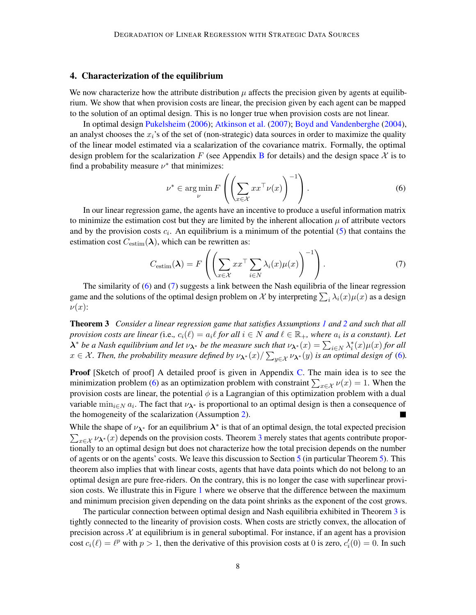#### <span id="page-7-0"></span>4. Characterization of the equilibrium

We now characterize how the attribute distribution  $\mu$  affects the precision given by agents at equilibrium. We show that when provision costs are linear, the precision given by each agent can be mapped to the solution of an optimal design. This is no longer true when provision costs are not linear.

In optimal design [Pukelsheim](#page-15-14) [\(2006\)](#page-15-14); [Atkinson et al.](#page-12-7) [\(2007\)](#page-12-7); [Boyd and Vandenberghe](#page-12-8) [\(2004\)](#page-12-8), an analyst chooses the  $x_i$ 's of the set of (non-strategic) data sources in order to maximize the quality of the linear model estimated via a scalarization of the covariance matrix. Formally, the optimal design problem for the scalarization F (see Appendix [B](#page-16-0) for details) and the design space  $\mathcal X$  is to find a probability measure  $\nu^*$  that minimizes:

<span id="page-7-2"></span><span id="page-7-1"></span>
$$
\nu^* \in \operatorname*{arg\,min}_{\nu} F\left(\left(\sum_{x \in \mathcal{X}} xx^\top \nu(x)\right)^{-1}\right). \tag{6}
$$

In our linear regression game, the agents have an incentive to produce a useful information matrix to minimize the estimation cost but they are limited by the inherent allocation  $\mu$  of attribute vectors and by the provision costs  $c_i$ . An equilibrium is a minimum of the potential [\(5\)](#page-6-2) that contains the estimation cost  $C_{\text{estim}}(\lambda)$ , which can be rewritten as:

$$
C_{\text{estim}}(\boldsymbol{\lambda}) = F\left(\left(\sum_{x \in \mathcal{X}} x x^{\top} \sum_{i \in N} \lambda_i(x) \mu(x)\right)^{-1}\right).
$$
 (7)

<span id="page-7-3"></span>The similarity of [\(6\)](#page-7-1) and [\(7\)](#page-7-2) suggests a link between the Nash equilibria of the linear regression game and the solutions of the optimal design problem on X by interpreting  $\sum_i \lambda_i(x) \mu(x)$  as a design  $\nu(x)$ :

Theorem 3 *Consider a linear regression game that satisfies Assumptions [1](#page-5-1) and [2](#page-5-2) and such that all provision costs are linear* (i.e.,  $c_i(\ell) = a_i \ell$  *for all*  $i \in N$  *and*  $\ell \in \mathbb{R}_+$ *, where*  $a_i$  *is a constant*). Let  $\lambda^*$  *be a Nash equilibrium and let*  $\nu_{\lambda^*}$  *be the measure such that*  $\nu_{\lambda^*}(x) = \sum_{i\in N}\lambda_i^*(x)\mu(x)$  *for all*  $x \in \mathcal{X}$ *. Then, the probability measure defined by*  $\nu_{\bm{\lambda^*}}(x) / \sum_{y \in \mathcal{X}} \nu_{\bm{\lambda^*}}(y)$  is an optimal design of [\(6\)](#page-7-1).

Proof [Sketch of proof] A detailed proof is given in Appendix [C.](#page-18-0) The main idea is to see the minimization problem [\(6\)](#page-7-1) as an optimization problem with constraint  $\sum_{x \in \mathcal{X}} \nu(x) = 1$ . When the provision costs are linear, the potential  $\phi$  is a Lagrangian of this optimization problem with a dual variable  $\min_{i \in N} a_i$ . The fact that  $\nu_{\lambda^*}$  is proportional to an optimal design is then a consequence of the homogeneity of the scalarization (Assumption [2\)](#page-5-2).

While the shape of  $\nu_{\lambda^*}$  for an equilibrium  $\lambda^*$  is that of an optimal design, the total expected precision  $\sum_{x \in \mathcal{X}} \nu_{\lambda^*}(x)$  depends on the provision costs. Theorem [3](#page-7-3) merely states that agents contribute proportionally to an optimal design but does not characterize how the total precision depends on the number of agents or on the agents' costs. We leave this discussion to Section [5](#page-8-0) (in particular Theorem [5\)](#page-9-0). This theorem also implies that with linear costs, agents that have data points which do not belong to an optimal design are pure free-riders. On the contrary, this is no longer the case with superlinear provision costs. We illustrate this in Figure [1](#page-8-1) where we observe that the difference between the maximum and minimum precision given depending on the data point shrinks as the exponent of the cost grows.

The particular connection between optimal design and Nash equilibria exhibited in Theorem [3](#page-7-3) is tightly connected to the linearity of provision costs. When costs are strictly convex, the allocation of precision across  $\mathcal X$  at equilibrium is in general suboptimal. For instance, if an agent has a provision cost  $c_i(\ell) = \ell^p$  with  $p > 1$ , then the derivative of this provision costs at 0 is zero,  $c'_i(0) = 0$ . In such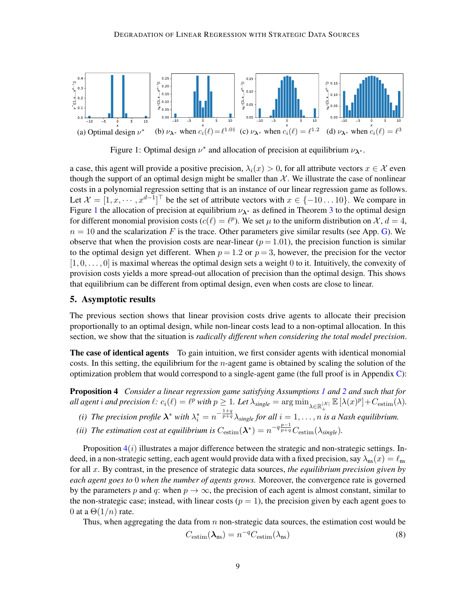<span id="page-8-1"></span>

Figure 1: Optimal design  $\nu^*$  and allocation of precision at equilibrium  $\nu_{\lambda^*}$ .

a case, this agent will provide a positive precision,  $\lambda_i(x) > 0$ , for all attribute vectors  $x \in \mathcal{X}$  even though the support of an optimal design might be smaller than  $X$ . We illustrate the case of nonlinear costs in a polynomial regression setting that is an instance of our linear regression game as follows. Let  $\mathcal{X} = [1, x, \dots, x^{d-1}]^{\top}$  be the set of attribute vectors with  $x \in \{-10 \dots 10\}$ . We compare in Figure [1](#page-8-1) the allocation of precision at equilibrium  $\nu_{\lambda^*}$  as defined in Theorem [3](#page-7-3) to the optimal design for different monomial provision costs  $(c(\ell) = \ell^p)$ . We set  $\mu$  to the uniform distribution on X,  $d = 4$ ,  $n = 10$  and the scalarization F is the trace. Other parameters give similar results (see App. [G\)](#page-32-0). We observe that when the provision costs are near-linear ( $p = 1.01$ ), the precision function is similar to the optimal design yet different. When  $p = 1.2$  or  $p = 3$ , however, the precision for the vector  $[1, 0, \ldots, 0]$  is maximal whereas the optimal design sets a weight 0 to it. Intuitively, the convexity of provision costs yields a more spread-out allocation of precision than the optimal design. This shows that equilibrium can be different from optimal design, even when costs are close to linear.

#### <span id="page-8-0"></span>5. Asymptotic results

The previous section shows that linear provision costs drive agents to allocate their precision proportionally to an optimal design, while non-linear costs lead to a non-optimal allocation. In this section, we show that the situation is *radically different when considering the total model precision*.

The case of identical agents To gain intuition, we first consider agents with identical monomial costs. In this setting, the equilibrium for the *n*-agent game is obtained by scaling the solution of the optimization problem that would correspond to a single-agent game (the full proof is in Appendix  $C$ ):

Proposition 4 *Consider a linear regression game satisfying Assumptions [1](#page-5-1) and [2](#page-5-2) and such that for*  $all$  agent i and precision  $\ell: c_i(\ell) = \ell^p$  with  $p \geq 1$ . Let  $\lambda_{single} = \arg \min_{\lambda \in \mathbb{R}^{\vert \mathcal{X} \vert}} \mathbb{E} [\lambda(x)^p] + C_{\text{estim}}(\lambda)$ .

- (i) The precision profile  $\lambda^*$  with  $\lambda_i^* = n^{-\frac{1+q}{p+q}} \lambda_{single}$  for all  $i = 1, \ldots, n$  is a Nash equilibrium.
- (*ii*) The estimation cost at equilibrium is  $C_{\text{estim}}(\lambda^*) = n^{-q\frac{p-1}{p+q}}C_{\text{estim}}(\lambda_{single})$ .

Proposition  $4(i)$  $4(i)$  illustrates a major difference between the strategic and non-strategic settings. Indeed, in a non-strategic setting, each agent would provide data with a fixed precision, say  $\lambda_{ns}(x) = \ell_{ns}$ for all x. By contrast, in the presence of strategic data sources, *the equilibrium precision given by each agent goes to* 0 *when the number of agents grows.* Moreover, the convergence rate is governed by the parameters p and q: when  $p \to \infty$ , the precision of each agent is almost constant, similar to the non-strategic case; instead, with linear costs  $(p = 1)$ , the precision given by each agent goes to 0 at a  $\Theta(1/n)$  rate.

Thus, when aggregating the data from n non-strategic data sources, the estimation cost would be

<span id="page-8-2"></span>
$$
C_{\text{estim}}(\lambda_{\text{ns}}) = n^{-q} C_{\text{estim}}(\lambda_{\text{ns}})
$$
\n(8)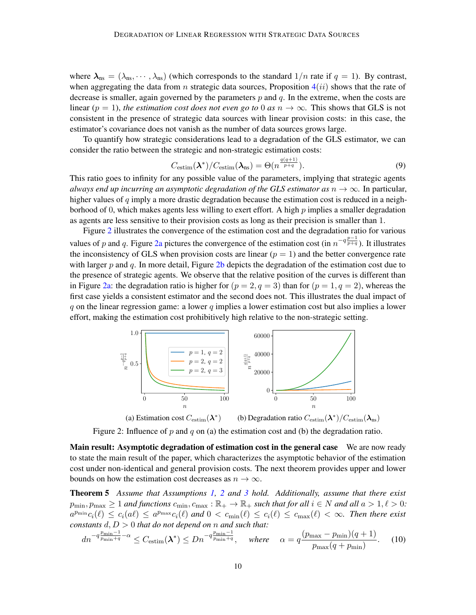where  $\lambda_{ns} = (\lambda_{ns}, \dots, \lambda_{ns})$  (which corresponds to the standard  $1/n$  rate if  $q = 1$ ). By contrast, when aggregating the data from n strategic data sources, Proposition  $4(ii)$  $4(ii)$  shows that the rate of decrease is smaller, again governed by the parameters  $p$  and  $q$ . In the extreme, when the costs are linear ( $p = 1$ ), *the estimation cost does not even go to* 0 *as*  $n \to \infty$ . This shows that GLS is not consistent in the presence of strategic data sources with linear provision costs: in this case, the estimator's covariance does not vanish as the number of data sources grows large.

To quantify how strategic considerations lead to a degradation of the GLS estimator, we can consider the ratio between the strategic and non-strategic estimation costs:

$$
C_{\text{estim}}(\boldsymbol{\lambda}^*)/C_{\text{estim}}(\boldsymbol{\lambda}_{\text{ns}}) = \Theta(n^{\frac{q(q+1)}{p+q}}).
$$
\n(9)

This ratio goes to infinity for any possible value of the parameters, implying that strategic agents *always end up incurring an asymptotic degradation of the GLS estimator as*  $n \to \infty$ . In particular, higher values of q imply a more drastic degradation because the estimation cost is reduced in a neighborhood of 0, which makes agents less willing to exert effort. A high  $p$  implies a smaller degradation as agents are less sensitive to their provision costs as long as their precision is smaller than 1.

Figure [2](#page-9-1) illustrates the convergence of the estimation cost and the degradation ratio for various values of p and q. Figure [2a](#page-9-1) pictures the convergence of the estimation cost (in  $n^{-q\frac{p-1}{p+q}}$ ). It illustrates the inconsistency of GLS when provision costs are linear  $(p = 1)$  and the better convergence rate with larger p and q. In more detail, Figure [2b](#page-9-1) depicts the degradation of the estimation cost due to the presence of strategic agents. We observe that the relative position of the curves is different than in Figure [2a:](#page-9-1) the degradation ratio is higher for  $(p = 2, q = 3)$  than for  $(p = 1, q = 2)$ , whereas the first case yields a consistent estimator and the second does not. This illustrates the dual impact of q on the linear regression game: a lower q implies a lower estimation cost but also implies a lower effort, making the estimation cost prohibitively high relative to the non-strategic setting.

<span id="page-9-1"></span>

<span id="page-9-0"></span>

Figure 2: Influence of  $p$  and  $q$  on (a) the estimation cost and (b) the degradation ratio.

Main result: Asymptotic degradation of estimation cost in the general case We are now ready to state the main result of the paper, which characterizes the asymptotic behavior of the estimation cost under non-identical and general provision costs. The next theorem provides upper and lower bounds on how the estimation cost decreases as  $n \to \infty$ .

Theorem 5 *Assume that Assumptions [1,](#page-5-1) [2](#page-5-2) and [3](#page-5-3) hold. Additionally, assume that there exist*  $p_{\min}, p_{\max} \ge 1$  *and functions*  $c_{\min}, c_{\max} : \mathbb{R}_+ \to \mathbb{R}_+$  *such that for all*  $i \in N$  *and all*  $a > 1, \ell > 0$ :  $a^{p_{\min}}c_i(\ell) \leq c_i(a\ell) \leq a^{p_{\max}}c_i(\ell)$  and  $0 < c_{\min}(\ell) \leq c_i(\ell) \leq c_{\max}(\ell) < \infty$ . Then there exist *constants* d, D > 0 *that do not depend on* n *and such that:*

<span id="page-9-2"></span>
$$
dn^{-q\frac{p_{\min}-1}{p_{\min}+q}-\alpha} \leq C_{\text{estim}}(\boldsymbol{\lambda}^*) \leq Dn^{-q\frac{p_{\min}-1}{p_{\min}+q}}, \quad \text{where} \quad \alpha = q\frac{(p_{\max}-p_{\min})(q+1)}{p_{\max}(q+p_{\min})}.\tag{10}
$$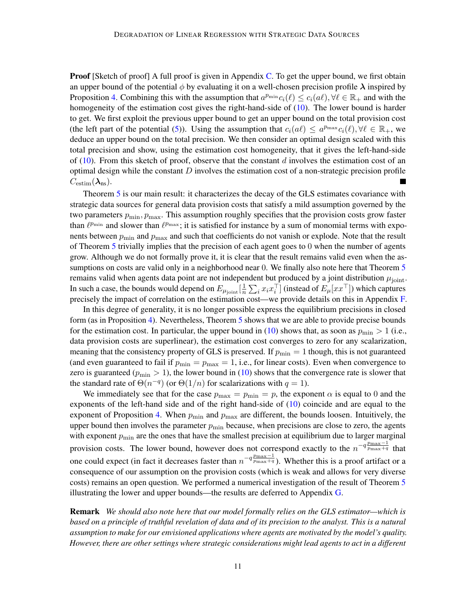**Proof** [Sketch of proof] A full proof is given in Appendix [C.](#page-18-0) To get the upper bound, we first obtain an upper bound of the potential  $\phi$  by evaluating it on a well-chosen precision profile  $\lambda$  inspired by Proposition [4.](#page-8-2) Combining this with the assumption that  $a^{p_{\min}}c_i(\ell) \le c_i(a\ell), \forall \ell \in \mathbb{R}_+$  and with the homogeneity of the estimation cost gives the right-hand-side of [\(10\)](#page-9-2). The lower bound is harder to get. We first exploit the previous upper bound to get an upper bound on the total provision cost (the left part of the potential [\(5\)](#page-6-2)). Using the assumption that  $c_i(a\ell) \le a^{p_{\max}}c_i(\ell), \forall \ell \in \mathbb{R}_+$ , we deduce an upper bound on the total precision. We then consider an optimal design scaled with this total precision and show, using the estimation cost homogeneity, that it gives the left-hand-side of  $(10)$ . From this sketch of proof, observe that the constant d involves the estimation cost of an optimal design while the constant  $D$  involves the estimation cost of a non-strategic precision profile  $C_{\text{estim}}(\lambda_{\text{ns}}).$ 

Theorem [5](#page-9-0) is our main result: it characterizes the decay of the GLS estimates covariance with strategic data sources for general data provision costs that satisfy a mild assumption governed by the two parameters  $p_{\text{min}}$ ,  $p_{\text{max}}$ . This assumption roughly specifies that the provision costs grow faster than  $\ell^{p_{\min}}$  and slower than  $\ell^{p_{\max}}$ ; it is satisfied for instance by a sum of monomial terms with exponents between  $p_{\text{min}}$  and  $p_{\text{max}}$  and such that coefficients do not vanish or explode. Note that the result of Theorem [5](#page-9-0) trivially implies that the precision of each agent goes to 0 when the number of agents grow. Although we do not formally prove it, it is clear that the result remains valid even when the as-sumptions on costs are valid only in a neighborhood near 0. We finally also note here that Theorem [5](#page-9-0) remains valid when agents data point are not independent but produced by a joint distribution  $\mu_{\text{joint}}$ . In such a case, the bounds would depend on  $E_{\mu_{\mathrm{joint}}}[\frac{1}{n}]$  $\frac{1}{n}\sum_i x_i x_i^\top]$  (instead of  $E_\mu [x x^\top]$ ) which captures precisely the impact of correlation on the estimation cost—we provide details on this in Appendix [F.](#page-29-0)

In this degree of generality, it is no longer possible express the equilibrium precisions in closed form (as in Proposition [4\)](#page-8-2). Nevertheless, Theorem [5](#page-9-0) shows that we are able to provide precise bounds for the estimation cost. In particular, the upper bound in [\(10\)](#page-9-2) shows that, as soon as  $p_{\min} > 1$  (i.e., data provision costs are superlinear), the estimation cost converges to zero for any scalarization, meaning that the consistency property of GLS is preserved. If  $p_{\text{min}} = 1$  though, this is not guaranteed (and even guaranteed to fail if  $p_{\min} = p_{\max} = 1$ , i.e., for linear costs). Even when convergence to zero is guaranteed ( $p_{\min} > 1$ ), the lower bound in [\(10\)](#page-9-2) shows that the convergence rate is slower that the standard rate of  $\Theta(n^{-q})$  (or  $\Theta(1/n)$  for scalarizations with  $q = 1$ ).

We immediately see that for the case  $p_{\text{max}} = p_{\text{min}} = p$ , the exponent  $\alpha$  is equal to 0 and the exponents of the left-hand side and of the right hand-side of [\(10\)](#page-9-2) coincide and are equal to the exponent of Proposition [4.](#page-8-2) When  $p_{\text{min}}$  and  $p_{\text{max}}$  are different, the bounds loosen. Intuitively, the upper bound then involves the parameter  $p_{\min}$  because, when precisions are close to zero, the agents with exponent  $p_{\text{min}}$  are the ones that have the smallest precision at equilibrium due to larger marginal provision costs. The lower bound, however does not correspond exactly to the  $n^{-q \frac{p_{\text{max}}-1}{p_{\text{max}}+q}}$  that one could expect (in fact it decreases faster than  $n^{-q \frac{p_{\text{max}}-1}{p_{\text{max}}+q}}$ ). Whether this is a proof artifact or a consequence of our assumption on the provision costs (which is weak and allows for very diverse costs) remains an open question. We performed a numerical investigation of the result of Theorem [5](#page-9-0) illustrating the lower and upper bounds—the results are deferred to Appendix [G.](#page-32-0)

Remark *We should also note here that our model formally relies on the GLS estimator—which is based on a principle of truthful revelation of data and of its precision to the analyst. This is a natural assumption to make for our envisioned applications where agents are motivated by the model's quality. However, there are other settings where strategic considerations might lead agents to act in a different*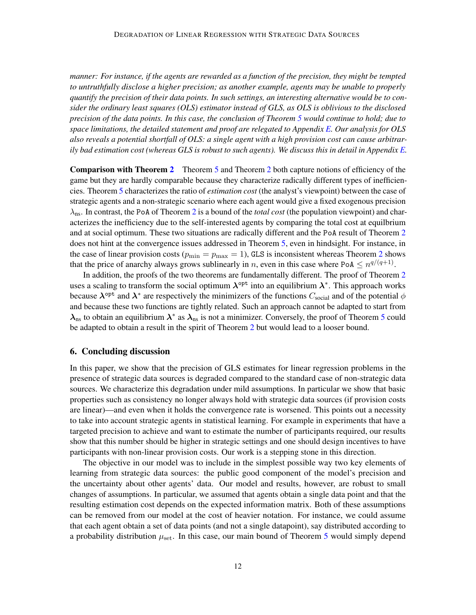*manner: For instance, if the agents are rewarded as a function of the precision, they might be tempted to untruthfully disclose a higher precision; as another example, agents may be unable to properly quantify the precision of their data points. In such settings, an interesting alternative would be to consider the ordinary least squares (OLS) estimator instead of GLS, as OLS is oblivious to the disclosed precision of the data points. In this case, the conclusion of Theorem [5](#page-9-0) would continue to hold; due to space limitations, the detailed statement and proof are relegated to Appendix [E.](#page-27-0) Our analysis for OLS also reveals a potential shortfall of OLS: a single agent with a high provision cost can cause arbitrarily bad estimation cost (whereas GLS is robust to such agents). We discuss this in detail in Appendix [E.](#page-27-0)*

Comparison with Theorem [2](#page-6-4) Theorem [5](#page-9-0) and Theorem [2](#page-6-4) both capture notions of efficiency of the game but they are hardly comparable because they characterize radically different types of inefficiencies. Theorem [5](#page-9-0) characterizes the ratio of *estimation cost* (the analyst's viewpoint) between the case of strategic agents and a non-strategic scenario where each agent would give a fixed exogenous precision  $\lambda_{\text{ns}}$ . In contrast, the PoA of Theorem [2](#page-6-4) is a bound of the *total cost* (the population viewpoint) and characterizes the inefficiency due to the self-interested agents by comparing the total cost at equilbrium and at social optimum. These two situations are radically different and the PoA result of Theorem [2](#page-6-4) does not hint at the convergence issues addressed in Theorem [5,](#page-9-0) even in hindsight. For instance, in the case of linear provision costs ( $p_{\text{min}} = p_{\text{max}} = 1$ ), GLS is inconsistent whereas Theorem [2](#page-6-4) shows that the price of anarchy always grows sublinearly in *n*, even in this case where PoA  $\leq n^{q/(q+1)}$ .

In addition, the proofs of the two theorems are fundamentally different. The proof of Theorem [2](#page-6-4) uses a scaling to transform the social optimum  $\lambda^{\text{opt}}$  into an equilibrium  $\lambda^*$ . This approach works because  $\lambda^{\text{opt}}$  and  $\lambda^*$  are respectively the minimizers of the functions  $C_{\text{social}}$  and of the potential  $\phi$ and because these two functions are tightly related. Such an approach cannot be adapted to start from  $\lambda_{\rm ns}$  to obtain an equilibrium  $\lambda^*$  as  $\lambda_{\rm ns}$  is not a minimizer. Conversely, the proof of Theorem [5](#page-9-0) could be adapted to obtain a result in the spirit of Theorem [2](#page-6-4) but would lead to a looser bound.

#### 6. Concluding discussion

In this paper, we show that the precision of GLS estimates for linear regression problems in the presence of strategic data sources is degraded compared to the standard case of non-strategic data sources. We characterize this degradation under mild assumptions. In particular we show that basic properties such as consistency no longer always hold with strategic data sources (if provision costs are linear)—and even when it holds the convergence rate is worsened. This points out a necessity to take into account strategic agents in statistical learning. For example in experiments that have a targeted precision to achieve and want to estimate the number of participants required, our results show that this number should be higher in strategic settings and one should design incentives to have participants with non-linear provision costs. Our work is a stepping stone in this direction.

The objective in our model was to include in the simplest possible way two key elements of learning from strategic data sources: the public good component of the model's precision and the uncertainty about other agents' data. Our model and results, however, are robust to small changes of assumptions. In particular, we assumed that agents obtain a single data point and that the resulting estimation cost depends on the expected information matrix. Both of these assumptions can be removed from our model at the cost of heavier notation. For instance, we could assume that each agent obtain a set of data points (and not a single datapoint), say distributed according to a probability distribution  $\mu_{\rm set}$ . In this case, our main bound of Theorem [5](#page-9-0) would simply depend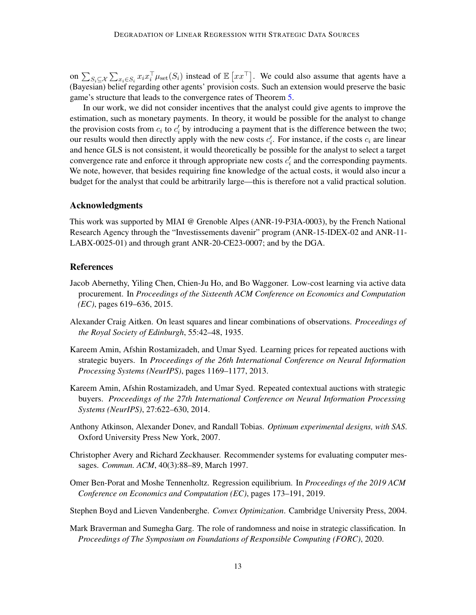on  $\sum_{S_i \subseteq \mathcal{X}} \sum_{x_i \in S_i} x_i x_i^\top \mu_{\text{set}}(S_i)$  instead of  $\mathbb{E} [xx^\top]$ . We could also assume that agents have a (Bayesian) belief regarding other agents' provision costs. Such an extension would preserve the basic game's structure that leads to the convergence rates of Theorem [5.](#page-9-0)

In our work, we did not consider incentives that the analyst could give agents to improve the estimation, such as monetary payments. In theory, it would be possible for the analyst to change the provision costs from  $c_i$  to  $c'_i$  by introducing a payment that is the difference between the two; our results would then directly apply with the new costs  $c_i$ . For instance, if the costs  $c_i$  are linear and hence GLS is not consistent, it would theoretically be possible for the analyst to select a target convergence rate and enforce it through appropriate new costs  $c_i$  and the corresponding payments. We note, however, that besides requiring fine knowledge of the actual costs, it would also incur a budget for the analyst that could be arbitrarily large—this is therefore not a valid practical solution.

#### Acknowledgments

This work was supported by MIAI @ Grenoble Alpes (ANR-19-P3IA-0003), by the French National Research Agency through the "Investissements davenir" program (ANR-15-IDEX-02 and ANR-11- LABX-0025-01) and through grant ANR-20-CE23-0007; and by the DGA.

#### **References**

- <span id="page-12-2"></span>Jacob Abernethy, Yiling Chen, Chien-Ju Ho, and Bo Waggoner. Low-cost learning via active data procurement. In *Proceedings of the Sixteenth ACM Conference on Economics and Computation (EC)*, pages 619–636, 2015.
- <span id="page-12-0"></span>Alexander Craig Aitken. On least squares and linear combinations of observations. *Proceedings of the Royal Society of Edinburgh*, 55:42–48, 1935.
- <span id="page-12-5"></span>Kareem Amin, Afshin Rostamizadeh, and Umar Syed. Learning prices for repeated auctions with strategic buyers. In *Proceedings of the 26th International Conference on Neural Information Processing Systems (NeurIPS)*, pages 1169–1177, 2013.
- <span id="page-12-4"></span>Kareem Amin, Afshin Rostamizadeh, and Umar Syed. Repeated contextual auctions with strategic buyers. *Proceedings of the 27th International Conference on Neural Information Processing Systems (NeurIPS)*, 27:622–630, 2014.
- <span id="page-12-7"></span>Anthony Atkinson, Alexander Donev, and Randall Tobias. *Optimum experimental designs, with SAS*. Oxford University Press New York, 2007.
- <span id="page-12-1"></span>Christopher Avery and Richard Zeckhauser. Recommender systems for evaluating computer messages. *Commun. ACM*, 40(3):88–89, March 1997.
- <span id="page-12-3"></span>Omer Ben-Porat and Moshe Tennenholtz. Regression equilibrium. In *Proceedings of the 2019 ACM Conference on Economics and Computation (EC)*, pages 173–191, 2019.
- <span id="page-12-8"></span>Stephen Boyd and Lieven Vandenberghe. *Convex Optimization*. Cambridge University Press, 2004.
- <span id="page-12-6"></span>Mark Braverman and Sumegha Garg. The role of randomness and noise in strategic classification. In *Proceedings of The Symposium on Foundations of Responsible Computing (FORC)*, 2020.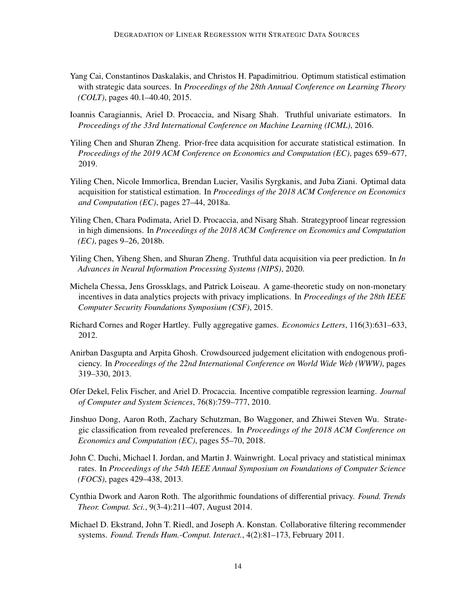- <span id="page-13-3"></span>Yang Cai, Constantinos Daskalakis, and Christos H. Papadimitriou. Optimum statistical estimation with strategic data sources. In *Proceedings of the 28th Annual Conference on Learning Theory (COLT)*, pages 40.1–40.40, 2015.
- <span id="page-13-8"></span>Ioannis Caragiannis, Ariel D. Procaccia, and Nisarg Shah. Truthful univariate estimators. In *Proceedings of the 33rd International Conference on Machine Learning (ICML)*, 2016.
- <span id="page-13-5"></span>Yiling Chen and Shuran Zheng. Prior-free data acquisition for accurate statistical estimation. In *Proceedings of the 2019 ACM Conference on Economics and Computation (EC)*, pages 659–677, 2019.
- <span id="page-13-4"></span>Yiling Chen, Nicole Immorlica, Brendan Lucier, Vasilis Syrgkanis, and Juba Ziani. Optimal data acquisition for statistical estimation. In *Proceedings of the 2018 ACM Conference on Economics and Computation (EC)*, pages 27–44, 2018a.
- <span id="page-13-9"></span>Yiling Chen, Chara Podimata, Ariel D. Procaccia, and Nisarg Shah. Strategyproof linear regression in high dimensions. In *Proceedings of the 2018 ACM Conference on Economics and Computation (EC)*, pages 9–26, 2018b.
- <span id="page-13-10"></span>Yiling Chen, Yiheng Shen, and Shuran Zheng. Truthful data acquisition via peer prediction. In *In Advances in Neural Information Processing Systems (NIPS)*, 2020.
- <span id="page-13-12"></span>Michela Chessa, Jens Grossklags, and Patrick Loiseau. A game-theoretic study on non-monetary incentives in data analytics projects with privacy implications. In *Proceedings of the 28th IEEE Computer Security Foundations Symposium (CSF)*, 2015.
- <span id="page-13-13"></span>Richard Cornes and Roger Hartley. Fully aggregative games. *Economics Letters*, 116(3):631–633, 2012.
- <span id="page-13-1"></span>Anirban Dasgupta and Arpita Ghosh. Crowdsourced judgement elicitation with endogenous proficiency. In *Proceedings of the 22nd International Conference on World Wide Web (WWW)*, pages 319–330, 2013.
- <span id="page-13-7"></span>Ofer Dekel, Felix Fischer, and Ariel D. Procaccia. Incentive compatible regression learning. *Journal of Computer and System Sciences*, 76(8):759–777, 2010.
- <span id="page-13-11"></span>Jinshuo Dong, Aaron Roth, Zachary Schutzman, Bo Waggoner, and Zhiwei Steven Wu. Strategic classification from revealed preferences. In *Proceedings of the 2018 ACM Conference on Economics and Computation (EC)*, pages 55–70, 2018.
- <span id="page-13-0"></span>John C. Duchi, Michael I. Jordan, and Martin J. Wainwright. Local privacy and statistical minimax rates. In *Proceedings of the 54th IEEE Annual Symposium on Foundations of Computer Science (FOCS)*, pages 429–438, 2013.
- <span id="page-13-6"></span>Cynthia Dwork and Aaron Roth. The algorithmic foundations of differential privacy. *Found. Trends Theor. Comput. Sci.*, 9(3-4):211–407, August 2014.
- <span id="page-13-2"></span>Michael D. Ekstrand, John T. Riedl, and Joseph A. Konstan. Collaborative filtering recommender systems. *Found. Trends Hum.-Comput. Interact.*, 4(2):81–173, February 2011.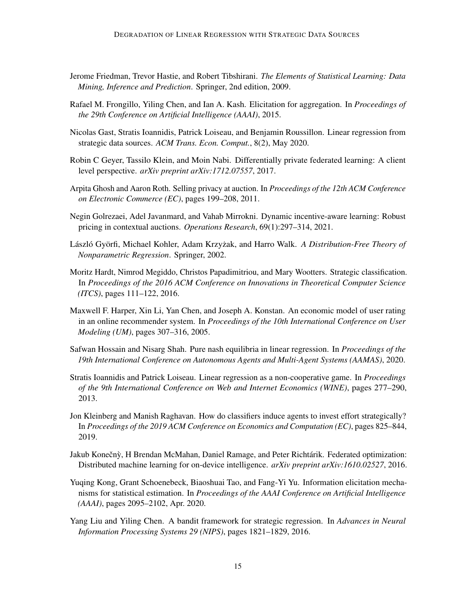- <span id="page-14-1"></span>Jerome Friedman, Trevor Hastie, and Robert Tibshirani. *The Elements of Statistical Learning: Data Mining, Inference and Prediction*. Springer, 2nd edition, 2009.
- <span id="page-14-7"></span>Rafael M. Frongillo, Yiling Chen, and Ian A. Kash. Elicitation for aggregation. In *Proceedings of the 29th Conference on Artificial Intelligence (AAAI)*, 2015.
- <span id="page-14-6"></span>Nicolas Gast, Stratis Ioannidis, Patrick Loiseau, and Benjamin Roussillon. Linear regression from strategic data sources. *ACM Trans. Econ. Comput.*, 8(2), May 2020.
- <span id="page-14-5"></span>Robin C Geyer, Tassilo Klein, and Moin Nabi. Differentially private federated learning: A client level perspective. *arXiv preprint arXiv:1712.07557*, 2017.
- <span id="page-14-9"></span>Arpita Ghosh and Aaron Roth. Selling privacy at auction. In *Proceedings of the 12th ACM Conference on Electronic Commerce (EC)*, pages 199–208, 2011.
- <span id="page-14-11"></span>Negin Golrezaei, Adel Javanmard, and Vahab Mirrokni. Dynamic incentive-aware learning: Robust pricing in contextual auctions. *Operations Research*, 69(1):297–314, 2021.
- <span id="page-14-0"></span>László Györfi, Michael Kohler, Adam Krzyżak, and Harro Walk. A Distribution-Free Theory of *Nonparametric Regression*. Springer, 2002.
- <span id="page-14-12"></span>Moritz Hardt, Nimrod Megiddo, Christos Papadimitriou, and Mary Wootters. Strategic classification. In *Proceedings of the 2016 ACM Conference on Innovations in Theoretical Computer Science (ITCS)*, pages 111–122, 2016.
- <span id="page-14-2"></span>Maxwell F. Harper, Xin Li, Yan Chen, and Joseph A. Konstan. An economic model of user rating in an online recommender system. In *Proceedings of the 10th International Conference on User Modeling (UM)*, pages 307–316, 2005.
- <span id="page-14-10"></span>Safwan Hossain and Nisarg Shah. Pure nash equilibria in linear regression. In *Proceedings of the 19th International Conference on Autonomous Agents and Multi-Agent Systems (AAMAS)*, 2020.
- <span id="page-14-14"></span>Stratis Ioannidis and Patrick Loiseau. Linear regression as a non-cooperative game. In *Proceedings of the 9th International Conference on Web and Internet Economics (WINE)*, pages 277–290, 2013.
- <span id="page-14-13"></span>Jon Kleinberg and Manish Raghavan. How do classifiers induce agents to invest effort strategically? In *Proceedings of the 2019 ACM Conference on Economics and Computation (EC)*, pages 825–844, 2019.
- <span id="page-14-4"></span>Jakub Konečnỳ, H Brendan McMahan, Daniel Ramage, and Peter Richtárik. Federated optimization: Distributed machine learning for on-device intelligence. *arXiv preprint arXiv:1610.02527*, 2016.
- <span id="page-14-8"></span>Yuqing Kong, Grant Schoenebeck, Biaoshuai Tao, and Fang-Yi Yu. Information elicitation mechanisms for statistical estimation. In *Proceedings of the AAAI Conference on Artificial Intelligence (AAAI)*, pages 2095–2102, Apr. 2020.
- <span id="page-14-3"></span>Yang Liu and Yiling Chen. A bandit framework for strategic regression. In *Advances in Neural Information Processing Systems 29 (NIPS)*, pages 1821–1829, 2016.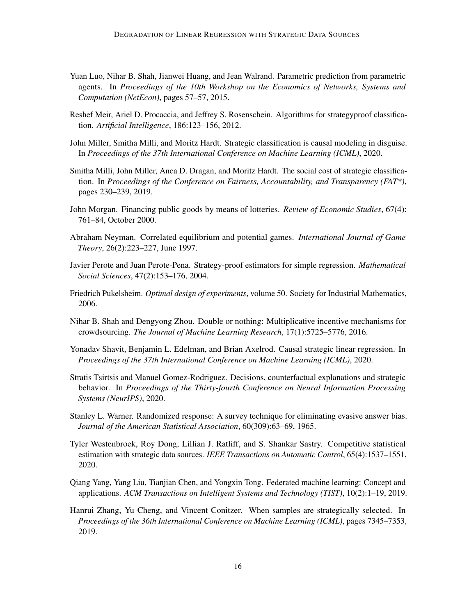- <span id="page-15-3"></span>Yuan Luo, Nihar B. Shah, Jianwei Huang, and Jean Walrand. Parametric prediction from parametric agents. In *Proceedings of the 10th Workshop on the Economics of Networks, Systems and Computation (NetEcon)*, pages 57–57, 2015.
- <span id="page-15-7"></span>Reshef Meir, Ariel D. Procaccia, and Jeffrey S. Rosenschein. Algorithms for strategyproof classification. *Artificial Intelligence*, 186:123–156, 2012.
- <span id="page-15-10"></span>John Miller, Smitha Milli, and Moritz Hardt. Strategic classification is causal modeling in disguise. In *Proceedings of the 37th International Conference on Machine Learning (ICML)*, 2020.
- <span id="page-15-8"></span>Smitha Milli, John Miller, Anca D. Dragan, and Moritz Hardt. The social cost of strategic classification. In *Proceedings of the Conference on Fairness, Accountability, and Transparency (FAT\*)*, pages 230–239, 2019.
- <span id="page-15-12"></span>John Morgan. Financing public goods by means of lotteries. *Review of Economic Studies*, 67(4): 761–84, October 2000.
- <span id="page-15-13"></span>Abraham Neyman. Correlated equilibrium and potential games. *International Journal of Game Theory*, 26(2):223–227, June 1997.
- <span id="page-15-5"></span>Javier Perote and Juan Perote-Pena. Strategy-proof estimators for simple regression. *Mathematical Social Sciences*, 47(2):153–176, 2004.
- <span id="page-15-14"></span>Friedrich Pukelsheim. *Optimal design of experiments*, volume 50. Society for Industrial Mathematics, 2006.
- <span id="page-15-4"></span>Nihar B. Shah and Dengyong Zhou. Double or nothing: Multiplicative incentive mechanisms for crowdsourcing. *The Journal of Machine Learning Research*, 17(1):5725–5776, 2016.
- <span id="page-15-6"></span>Yonadav Shavit, Benjamin L. Edelman, and Brian Axelrod. Causal strategic linear regression. In *Proceedings of the 37th International Conference on Machine Learning (ICML)*, 2020.
- <span id="page-15-11"></span>Stratis Tsirtsis and Manuel Gomez-Rodriguez. Decisions, counterfactual explanations and strategic behavior. In *Proceedings of the Thirty-fourth Conference on Neural Information Processing Systems (NeurIPS)*, 2020.
- <span id="page-15-0"></span>Stanley L. Warner. Randomized response: A survey technique for eliminating evasive answer bias. *Journal of the American Statistical Association*, 60(309):63–69, 1965.
- <span id="page-15-1"></span>Tyler Westenbroek, Roy Dong, Lillian J. Ratliff, and S. Shankar Sastry. Competitive statistical estimation with strategic data sources. *IEEE Transactions on Automatic Control*, 65(4):1537–1551, 2020.
- <span id="page-15-2"></span>Qiang Yang, Yang Liu, Tianjian Chen, and Yongxin Tong. Federated machine learning: Concept and applications. *ACM Transactions on Intelligent Systems and Technology (TIST)*, 10(2):1–19, 2019.
- <span id="page-15-9"></span>Hanrui Zhang, Yu Cheng, and Vincent Conitzer. When samples are strategically selected. In *Proceedings of the 36th International Conference on Machine Learning (ICML)*, pages 7345–7353, 2019.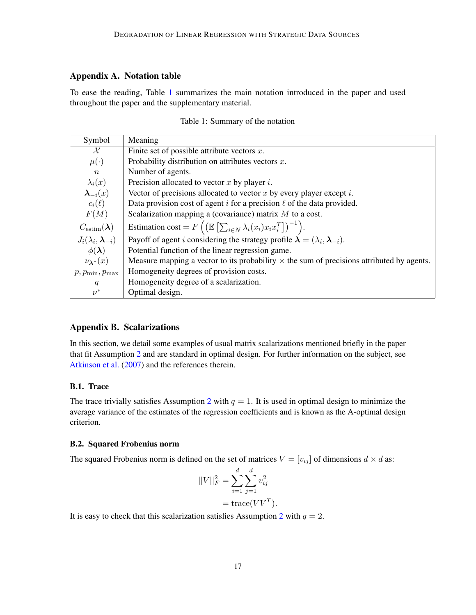#### <span id="page-16-2"></span>Appendix A. Notation table

<span id="page-16-1"></span>To ease the reading, Table [1](#page-16-1) summarizes the main notation introduced in the paper and used throughout the paper and the supplementary material.

|  | Table 1: Summary of the notation |  |  |
|--|----------------------------------|--|--|
|--|----------------------------------|--|--|

| Symbol                                      | Meaning                                                                                                                    |
|---------------------------------------------|----------------------------------------------------------------------------------------------------------------------------|
| $\mathcal{X}$                               | Finite set of possible attribute vectors $x$ .                                                                             |
| $\mu(\cdot)$                                | Probability distribution on attributes vectors $x$ .                                                                       |
| $\,n$                                       | Number of agents.                                                                                                          |
| $\lambda_i(x)$                              | Precision allocated to vector $x$ by player $i$ .                                                                          |
| $\lambda_{-i}(x)$                           | Vector of precisions allocated to vector $x$ by every player except $i$ .                                                  |
| $c_i(\ell)$                                 | Data provision cost of agent i for a precision $\ell$ of the data provided.                                                |
| F(M)                                        | Scalarization mapping a (covariance) matrix $M$ to a cost.                                                                 |
| $C_{\text{estim}}(\boldsymbol{\lambda})$    | Estimation cost = $F\left( \left( \mathbb{E}\left[ \sum_{i \in N} \lambda_i(x_i) x_i x_i^T \right] \right)^{-1} \right)$ . |
| $J_i(\lambda_i, \boldsymbol{\lambda}_{-i})$ | Payoff of agent <i>i</i> considering the strategy profile $\lambda = (\lambda_i, \lambda_{-i})$ .                          |
| $\phi(\lambda)$                             | Potential function of the linear regression game.                                                                          |
| $\nu_{\lambda^*}(x)$                        | Measure mapping a vector to its probability $\times$ the sum of precisions attributed by agents.                           |
| $p, p_{\min}, p_{\max}$                     | Homogeneity degrees of provision costs.                                                                                    |
| q                                           | Homogeneity degree of a scalarization.                                                                                     |
| $\nu^*$                                     | Optimal design.                                                                                                            |

### <span id="page-16-0"></span>Appendix B. Scalarizations

In this section, we detail some examples of usual matrix scalarizations mentioned briefly in the paper that fit Assumption [2](#page-5-2) and are standard in optimal design. For further information on the subject, see [Atkinson et al.](#page-12-7) [\(2007\)](#page-12-7) and the references therein.

### B.1. Trace

The trace trivially satisfies Assumption [2](#page-5-2) with  $q = 1$ . It is used in optimal design to minimize the average variance of the estimates of the regression coefficients and is known as the A-optimal design criterion.

#### B.2. Squared Frobenius norm

The squared Frobenius norm is defined on the set of matrices  $V = [v_{ij}]$  of dimensions  $d \times d$  as:

$$
||V||_F^2 = \sum_{i=1}^d \sum_{j=1}^d v_{ij}^2
$$
  
= trace $(VV^T)$ .

It is easy to check that this scalarization satisfies Assumption [2](#page-5-2) with  $q = 2$ .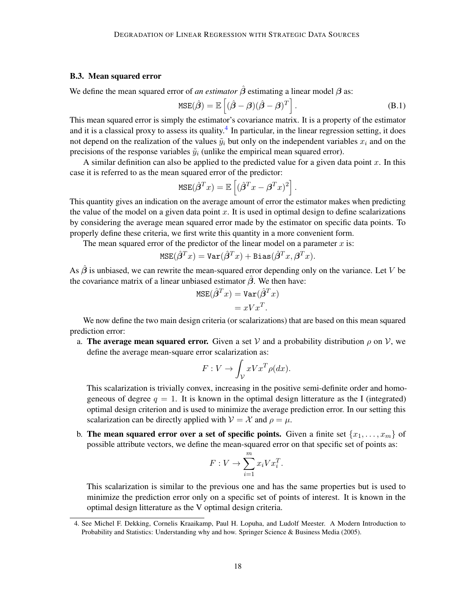#### B.3. Mean squared error

We define the mean squared error of *an estimator*  $\hat{\beta}$  estimating a linear model  $\beta$  as:

$$
MSE(\hat{\boldsymbol{\beta}}) = \mathbb{E}\left[ (\hat{\boldsymbol{\beta}} - \boldsymbol{\beta})(\hat{\boldsymbol{\beta}} - \boldsymbol{\beta})^T \right].
$$
 (B.1)

.

This mean squared error is simply the estimator's covariance matrix. It is a property of the estimator and it is a classical proxy to assess its quality.<sup>[4](#page-17-0)</sup> In particular, in the linear regression setting, it does not depend on the realization of the values  $\tilde{y}_i$  but only on the independent variables  $x_i$  and on the precisions of the response variables  $\tilde{y}_i$  (unlike the empirical mean squared error).

A similar definition can also be applied to the predicted value for a given data point  $x$ . In this case it is referred to as the mean squared error of the predictor:

$$
\text{MSE}(\hat{\beta}^T x) = \mathbb{E}\left[ (\hat{\beta}^T x - \beta^T x)^2 \right]
$$

This quantity gives an indication on the average amount of error the estimator makes when predicting the value of the model on a given data point  $x$ . It is used in optimal design to define scalarizations by considering the average mean squared error made by the estimator on specific data points. To properly define these criteria, we first write this quantity in a more convenient form.

The mean squared error of the predictor of the linear model on a parameter  $x$  is:

$$
\mathtt{MSE}(\hat{\boldsymbol{\beta}}^T\boldsymbol{x}) = \mathtt{Var}(\hat{\boldsymbol{\beta}}^T\boldsymbol{x}) + \mathtt{Bias}(\hat{\boldsymbol{\beta}}^T\boldsymbol{x}, \boldsymbol{\beta}^T\boldsymbol{x}).
$$

As  $\hat{\beta}$  is unbiased, we can rewrite the mean-squared error depending only on the variance. Let V be the covariance matrix of a linear unbiased estimator  $\hat{\beta}$ . We then have:

$$
MSE(\hat{\beta}^T x) = Var(\hat{\beta}^T x)
$$
  
=  $xVx^T$ .

We now define the two main design criteria (or scalarizations) that are based on this mean squared prediction error:

a. The average mean squared error. Given a set V and a probability distribution  $\rho$  on V, we define the average mean-square error scalarization as:

$$
F: V \to \int_{\mathcal{V}} xV x^T \rho(dx).
$$

This scalarization is trivially convex, increasing in the positive semi-definite order and homogeneous of degree  $q = 1$ . It is known in the optimal design litterature as the I (integrated) optimal design criterion and is used to minimize the average prediction error. In our setting this scalarization can be directly applied with  $V = \mathcal{X}$  and  $\rho = \mu$ .

b. The mean squared error over a set of specific points. Given a finite set  $\{x_1, \ldots, x_m\}$  of possible attribute vectors, we define the mean-squared error on that specific set of points as:

$$
F: V \to \sum_{i=1}^{m} x_i V x_i^T.
$$

This scalarization is similar to the previous one and has the same properties but is used to minimize the prediction error only on a specific set of points of interest. It is known in the optimal design litterature as the V optimal design criteria.

<span id="page-17-0"></span><sup>4.</sup> See Michel F. Dekking, Cornelis Kraaikamp, Paul H. Lopuha, and Ludolf Meester. A Modern Introduction to Probability and Statistics: Understanding why and how. Springer Science & Business Media (2005).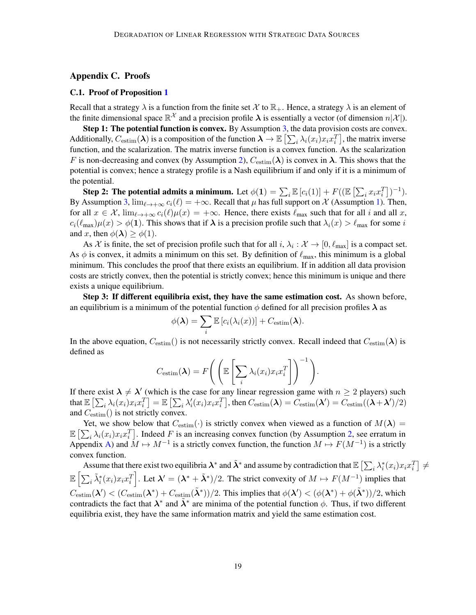#### <span id="page-18-0"></span>Appendix C. Proofs

#### <span id="page-18-1"></span>C.1. Proof of Proposition [1](#page-6-1)

Recall that a strategy  $\lambda$  is a function from the finite set X to  $\mathbb{R}_+$ . Hence, a strategy  $\lambda$  is an element of the finite dimensional space  $\mathbb{R}^{\mathcal{X}}$  and a precision profile  $\lambda$  is essentially a vector (of dimension  $n|\mathcal{X}|$ ).

Step 1: The potential function is convex. By Assumption [3,](#page-5-3) the data provision costs are convex. Additionally,  $C_{\text{estim}}(\lambda)$  is a composition of the function  $\lambda \to \mathbb{E}\left[\sum_i \lambda_i(x_i)x_ix_i^T\right]$ , the matrix inverse function, and the scalarization. The matrix inverse function is a convex function. As the scalarization F is non-decreasing and convex (by Assumption [2\)](#page-5-2),  $C_{\text{estim}}(\lambda)$  is convex in  $\lambda$ . This shows that the potential is convex; hence a strategy profile is a Nash equilibrium if and only if it is a minimum of the potential.

Step 2: The potential admits a minimum. Let  $\phi(1) = \sum_i \mathbb{E} [c_i(1)] + F((\mathbb{E} \left[ \sum_i x_i x_i^T \right])^{-1}).$ By Assumption [3,](#page-5-3)  $\lim_{\ell \to +\infty} c_i(\ell) = +\infty$ . Recall that  $\mu$  has full support on X (Assumption [1\)](#page-5-1). Then, for all  $x \in \mathcal{X}$ ,  $\lim_{\ell \to +\infty} c_i(\ell)\mu(x) = +\infty$ . Hence, there exists  $\ell_{\text{max}}$  such that for all i and all x,  $c_i(\ell_{\max})\mu(x) > \phi(1)$ . This shows that if  $\lambda$  is a precision profile such that  $\lambda_i(x) > \ell_{\max}$  for some i and x, then  $\phi(\lambda) \geq \phi(1)$ .

As X is finite, the set of precision profile such that for all  $i, \lambda_i : \mathcal{X} \to [0, \ell_{\text{max}}]$  is a compact set. As  $\phi$  is convex, it admits a minimum on this set. By definition of  $\ell_{\rm max}$ , this minimum is a global minimum. This concludes the proof that there exists an equilibrium. If in addition all data provision costs are strictly convex, then the potential is strictly convex; hence this minimum is unique and there exists a unique equilibrium.

Step 3: If different equilibria exist, they have the same estimation cost. As shown before, an equilibrium is a minimum of the potential function  $\phi$  defined for all precision profiles  $\lambda$  as

$$
\phi(\boldsymbol{\lambda}) = \sum_{i} \mathbb{E}\left[c_i(\lambda_i(x))\right] + C_{\text{estim}}(\boldsymbol{\lambda}).
$$

In the above equation,  $C_{estim}()$  is not necessarily strictly convex. Recall indeed that  $C_{estim}(\lambda)$  is defined as

$$
C_{\text{estim}}(\boldsymbol{\lambda}) = F\Bigg(\Bigg(\mathbb{E}\left[\sum_{i} \lambda_i(x_i)x_i x_i^T\right]\Bigg)^{-1}\Bigg).
$$

If there exist  $\lambda \neq \lambda'$  (which is the case for any linear regression game with  $n \geq 2$  players) such that  $\mathbb{E}\left[\sum_i \lambda_i(x_i) x_i x_i^T\right] = \mathbb{E}\left[\sum_i \lambda'_i(x_i) x_i x_i^T\right]$ , then  $C_{\text{estim}}(\boldsymbol{\lambda}) = C_{\text{estim}}(\boldsymbol{\lambda}') = C_{\text{estim}}((\boldsymbol{\lambda}+\boldsymbol{\lambda}')/2)$ and  $C_{estim}()$  is not strictly convex.

Yet, we show below that  $C_{estim}(\cdot)$  is strictly convex when viewed as a function of  $M(\lambda)$  =  $\mathbb{E}\left[\sum_i \lambda_i(x_i)x_i x_i^T\right]$ . Indeed F is an increasing convex function (by Assumption [2,](#page-5-2) see erratum in Appendix [A\)](#page-16-2) and  $M \mapsto M^{-1}$  is a strictly convex function, the function  $M \mapsto F(M^{-1})$  is a strictly convex function.

Assume that there exist two equilibria  $\lambda^*$  and  $\tilde{\lambda}^*$  and assume by contradiction that  $\mathbb{E}\left[\sum_i \lambda_i^*(x_i) x_i x_i^T\right] \neq 0$  $\mathbb{E}\left[\sum_i \tilde{\lambda}_i^*(x_i)x_ix_i^T\right]$ . Let  $\lambda' = (\lambda^* + \tilde{\lambda}^*)/2$ . The strict convexity of  $M \mapsto F(M^{-1})$  implies that  $C_{\text{estim}}(\lambda') < (C_{\text{estim}}(\lambda^*) + C_{\text{estim}}(\tilde{\lambda}^*))/2$ . This implies that  $\phi(\lambda') < (\phi(\lambda^*) + \phi(\tilde{\lambda}^*))/2$ , which contradicts the fact that  $\lambda^*$  and  $\tilde{\lambda}^*$  are minima of the potential function  $\phi$ . Thus, if two different equilibria exist, they have the same information matrix and yield the same estimation cost.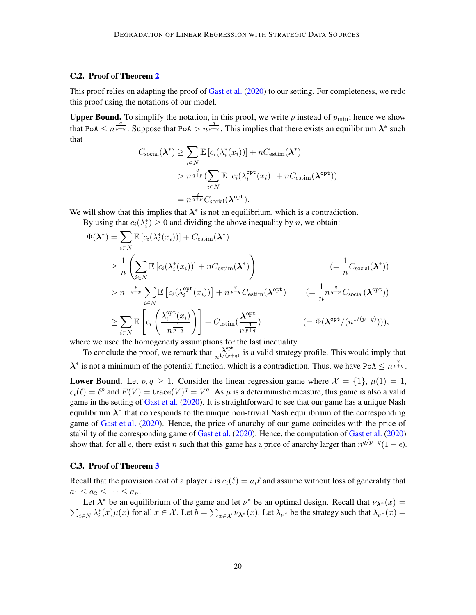#### C.2. Proof of Theorem [2](#page-6-4)

This proof relies on adapting the proof of [Gast et al.](#page-14-6) [\(2020\)](#page-14-6) to our setting. For completeness, we redo this proof using the notations of our model.

**Upper Bound.** To simplify the notation, in this proof, we write p instead of  $p_{\text{min}}$ ; hence we show that PoA  $\leq n^{\frac{q}{p+q}}$ . Suppose that PoA  $> n^{\frac{q}{p+q}}$ . This implies that there exists an equilibrium  $\lambda^*$  such that

$$
C_{\text{social}}(\boldsymbol{\lambda}^*) \ge \sum_{i \in N} \mathbb{E} \left[ c_i(\lambda_i^*(x_i)) \right] + nC_{\text{estim}}(\boldsymbol{\lambda}^*)
$$
  
>  $n^{\frac{q}{q+p}} \left( \sum_{i \in N} \mathbb{E} \left[ c_i(\lambda_i^{\text{opt}}(x_i)) \right] + nC_{\text{estim}}(\boldsymbol{\lambda}^{\text{opt}}) \right)$   
=  $n^{\frac{q}{q+p}} C_{\text{social}}(\boldsymbol{\lambda}^{\text{opt}}).$ 

We will show that this implies that  $\lambda^*$  is not an equilibrium, which is a contradiction.

By using that  $c_i(\lambda_i^*) \geq 0$  and dividing the above inequality by *n*, we obtain:

$$
\Phi(\lambda^*) = \sum_{i \in N} \mathbb{E} \left[ c_i(\lambda_i^*(x_i)) \right] + C_{\text{estim}}(\lambda^*)
$$
\n
$$
\geq \frac{1}{n} \left( \sum_{i \in N} \mathbb{E} \left[ c_i(\lambda_i^*(x_i)) \right] + nC_{\text{estim}}(\lambda^*) \right) \qquad \qquad (= \frac{1}{n} C_{\text{social}}(\lambda^*))
$$
\n
$$
> n^{-\frac{p}{q+p}} \sum_{i \in N} \mathbb{E} \left[ c_i(\lambda_i^{\text{opt}}(x_i)) \right] + n^{\frac{q}{p+q}} C_{\text{estim}}(\lambda^{\text{opt}}) \qquad (= \frac{1}{n} n^{\frac{q}{q+p}} C_{\text{social}}(\lambda^{\text{opt}}))
$$
\n
$$
\geq \sum_{i \in N} \mathbb{E} \left[ c_i \left( \frac{\lambda_i^{\text{opt}}(x_i)}{n^{\frac{1}{p+q}}} \right) \right] + C_{\text{estim}}(\frac{\lambda^{\text{opt}}}{n^{\frac{1}{p+q}}}) \qquad \qquad (= \Phi(\lambda^{\text{opt}}/(n^{1/(p+q)}))),
$$

where we used the homogeneity assumptions for the last inequality.

To conclude the proof, we remark that  $\frac{\lambda^{opt}}{n^{1/(p+q)}}$  is a valid strategy profile. This would imply that  $\lambda^*$  is not a minimum of the potential function, which is a contradiction. Thus, we have PoA  $\leq n^{\frac{q}{p+q}}$ .

**Lower Bound.** Let  $p, q \ge 1$ . Consider the linear regression game where  $\mathcal{X} = \{1\}$ ,  $\mu(1) = 1$ ,  $c_i(\ell) = \ell^p$  and  $F(V) = \text{trace}(V)^q = V^q$ . As  $\mu$  is a deterministic measure, this game is also a valid game in the setting of [Gast et al.](#page-14-6) [\(2020\)](#page-14-6). It is straightforward to see that our game has a unique Nash equilibrium  $\lambda^*$  that corresponds to the unique non-trivial Nash equilibrium of the corresponding game of [Gast et al.](#page-14-6) [\(2020\)](#page-14-6). Hence, the price of anarchy of our game coincides with the price of stability of the corresponding game of [Gast et al.](#page-14-6) [\(2020\)](#page-14-6). Hence, the computation of [Gast et al.](#page-14-6) [\(2020\)](#page-14-6) show that, for all  $\epsilon$ , there exist n such that this game has a price of anarchy larger than  $n^{q/p+q}(1-\epsilon)$ .

#### C.3. Proof of Theorem [3](#page-7-3)

Recall that the provision cost of a player i is  $c_i(\ell) = a_i \ell$  and assume without loss of generality that  $a_1 \leq a_2 \leq \cdots \leq a_n$ .

Let  $\lambda^*$  be an equilibrium of the game and let  $\nu^*$  be an optimal design. Recall that  $\nu_{\lambda^*}(x) =$  $\sum_{i\in N}\lambda_i^*(x)\mu(x)$  for all  $x\in\mathcal{X}$ . Let  $b=\sum_{x\in\mathcal{X}}\nu_{\lambda^*}(x)$ . Let  $\lambda_{\nu^*}$  be the strategy such that  $\lambda_{\nu^*}(x)=$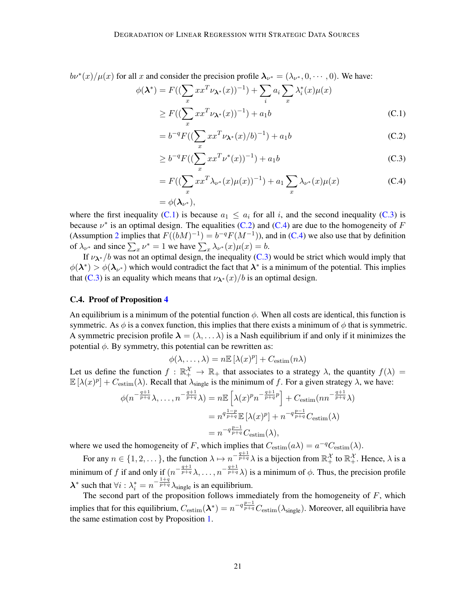$b\nu^*(x)/\mu(x)$  for all x and consider the precision profile  $\lambda_{\nu^*} = (\lambda_{\nu^*}, 0, \dots, 0)$ . We have:

$$
(\lambda^*) = F((\sum_x x x^T \nu_{\lambda^*}(x))^{-1}) + \sum_i a_i \sum_x \lambda_i^*(x) \mu(x)
$$
  
\n
$$
\geq F((\sum_x x x^T \nu_{\lambda^*}(x))^{-1}) + a_1 b
$$
 (C.1)

<span id="page-20-2"></span><span id="page-20-1"></span><span id="page-20-0"></span>
$$
= b^{-q} F((\sum_{x} x x^{T} \nu_{\lambda^{*}}(x)/b)^{-1}) + a_{1}b
$$
 (C.2)

$$
\geq b^{-q} F((\sum_{x} x x^{T} \nu^{*}(x))^{-1}) + a_{1}b
$$
\n(C.3)

<span id="page-20-3"></span>
$$
= F((\sum_{x} xx^{T} \lambda_{\nu^{*}}(x) \mu(x))^{-1}) + a_1 \sum_{x} \lambda_{\nu^{*}}(x) \mu(x)
$$
 (C.4)

$$
=\phi(\boldsymbol{\lambda}_{\nu^*}),
$$

where the first inequality [\(C.1\)](#page-20-0) is because  $a_1 \le a_i$  for all i, and the second inequality [\(C.3\)](#page-20-1) is because  $\nu^*$  is an optimal design. The equalities [\(C.2\)](#page-20-2) and [\(C.4\)](#page-20-3) are due to the homogeneity of F (Assumption [2](#page-5-2) implies that  $F((bM)^{-1}) = b^{-q}F(M^{-1})$ ), and in [\(C.4\)](#page-20-3) we also use that by definition of  $\lambda_{\nu^*}$  and since  $\sum_x \nu^* = 1$  we have  $\sum_x \lambda_{\nu^*}(x) \mu(x) = b$ .

If  $v_{\lambda^*}/b$  was not an optimal design, the inequality [\(C.3\)](#page-20-1) would be strict which would imply that  $\phi(\lambda^*) > \phi(\lambda_{\nu^*})$  which would contradict the fact that  $\lambda^*$  is a minimum of the potential. This implies that [\(C.3\)](#page-20-1) is an equality which means that  $\nu_{\lambda}$ \* (x)/b is an optimal design.

#### C.4. Proof of Proposition [4](#page-8-2)

 $\phi$ 

An equilibrium is a minimum of the potential function  $\phi$ . When all costs are identical, this function is symmetric. As  $\phi$  is a convex function, this implies that there exists a minimum of  $\phi$  that is symmetric. A symmetric precision profile  $\lambda = (\lambda, \dots \lambda)$  is a Nash equilibrium if and only if it minimizes the potential  $\phi$ . By symmetry, this potential can be rewritten as:

$$
\phi(\lambda, \ldots, \lambda) = n \mathbb{E} [\lambda(x)^p] + C_{\text{estim}}(n\lambda)
$$

Let us define the function  $f : \mathbb{R}_+^{\mathcal{X}} \to \mathbb{R}_+$  that associates to a strategy  $\lambda$ , the quantity  $f(\lambda) =$  $\mathbb{E}[\lambda(x)^p] + C_{\text{estim}}(\lambda)$ . Recall that  $\lambda_{\text{single}}$  is the minimum of f. For a given strategy  $\lambda$ , we have:

$$
\phi(n^{-\frac{q+1}{p+q}}\lambda, \dots, n^{-\frac{q+1}{p+q}}\lambda) = n \mathbb{E}\left[\lambda(x)^p n^{-\frac{q+1}{p+q}p}\right] + C_{\text{estim}}(nn^{-\frac{q+1}{p+q}}\lambda)
$$

$$
= n^{q\frac{1-p}{p+q}} \mathbb{E}\left[\lambda(x)^p\right] + n^{-q\frac{p-1}{p+q}} C_{\text{estim}}(\lambda)
$$

$$
= n^{-q\frac{p-1}{p+q}} C_{\text{estim}}(\lambda),
$$

where we used the homogeneity of F, which implies that  $C_{estim}(a\lambda) = a^{-q}C_{estim}(\lambda)$ .

For any  $n \in \{1, 2, \dots\}$ , the function  $\lambda \mapsto n^{-\frac{q+1}{p+q}} \lambda$  is a bijection from  $\mathbb{R}^{\mathcal{X}}_+$  to  $\mathbb{R}^{\mathcal{X}}_+$ . Hence,  $\lambda$  is a minimum of f if and only if  $(n^{-\frac{q+1}{p+q}}\lambda, \ldots, n^{-\frac{q+1}{p+q}}\lambda)$  is a minimum of  $\phi$ . Thus, the precision profile  $\lambda^*$  such that  $\forall i : \lambda_i^* = n^{-\frac{1+q}{p+q}} \lambda_{\text{single}}$  is an equilibrium.

The second part of the proposition follows immediately from the homogeneity of  $F$ , which implies that for this equilibrium,  $C_{\text{estim}}(\lambda^*) = n^{-q\frac{p-1}{p+q}}C_{\text{estim}}(\lambda_{\text{single}})$ . Moreover, all equilibria have the same estimation cost by Proposition [1.](#page-6-1)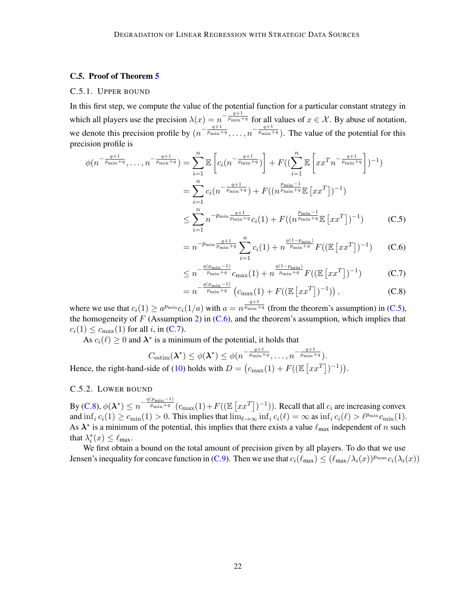#### <span id="page-21-4"></span>C.5. Proof of Theorem [5](#page-9-0)

#### C.5.1. UPPER BOUND

In this first step, we compute the value of the potential function for a particular constant strategy in which all players use the precision  $\lambda(x) = n^{-\frac{q+1}{p_{\min}+q}}$  for all values of  $x \in \mathcal{X}$ . By abuse of notation, we denote this precision profile by  $(n^{-\frac{q+1}{p_{\min}+q}}, \ldots, n^{-\frac{q+1}{p_{\min}+q}})$ . The value of the potential for this precision profile is

$$
\phi(n^{-\frac{q+1}{p_{\min}+q}}, \dots, n^{-\frac{q+1}{p_{\min}+q}}) = \sum_{i=1}^{n} \mathbb{E}\left[c_i(n^{-\frac{q+1}{p_{\min}+q}})\right] + F((\sum_{i=1}^{n} \mathbb{E}\left[xx^T n^{-\frac{q+1}{p_{\min}+q}}\right])^{-1})
$$

$$
= \sum_{i=1}^{n} c_i(n^{-\frac{q+1}{p_{\min}+q}}) + F((n^{\frac{p_{\min}-1}{p_{\min}+q}}\mathbb{E}\left[xx^T\right])^{-1})
$$

$$
\leq \sum_{i=1}^{n} \frac{-p_{\min}\frac{q+1}{z}}{(1+z)^{n}} \left(1\right) + F((\sum_{i=1}^{p_{\min}-1} \mathbb{E}\left[1, T\right])^{-1})
$$

<span id="page-21-0"></span>
$$
\leq \sum_{i=1}^{n} n^{-p_{\min} \frac{q+1}{p_{\min}+q}} c_i(1) + F((n^{\frac{p_{\min}-1}{p_{\min}+q}} \mathbb{E} [xx^T])^{-1})
$$
 (C.5)

<span id="page-21-1"></span>
$$
= n^{-p_{\min}\frac{q+1}{p_{\min}+q}} \sum_{i=1}^{n} c_i(1) + n^{\frac{q(1-p_{\min})}{p_{\min}+q}} F((\mathbb{E}[xx^T])^{-1})
$$
 (C.6)

<span id="page-21-2"></span>
$$
\leq n^{-\frac{q(p_{\min}-1)}{p_{\min}+q}}c_{\max}(1) + n^{\frac{q(1-p_{\min})}{p_{\min}+q}}F((\mathbb{E}\left[xx^T\right])^{-1})
$$
 (C.7)

<span id="page-21-3"></span>
$$
= n^{-\frac{q(p_{\min}-1)}{p_{\min}+q}} \left( c_{\max}(1) + F((\mathbb{E}\left[xx^T\right])^{-1}) \right), \tag{C.8}
$$

where we use that  $c_i(1) \ge a^{p_{\min}} c_i(1/a)$  with  $a = n^{\frac{q+1}{p_{\min}+q}}$  (from the theorem's assumption) in [\(C.5\)](#page-21-0), the homogeneity of  $F$  (Assumption [2\)](#page-5-2) in [\(C.6\)](#page-21-1), and the theorem's assumption, which implies that  $c_i(1) \leq c_{\text{max}}(1)$  for all i, in [\(C.7\)](#page-21-2).

As  $c_i(\ell) \ge 0$  and  $\lambda^*$  is a minimum of the potential, it holds that

$$
C_{\text{estim}}(\lambda^*) \le \phi(\lambda^*) \le \phi(n^{-\frac{q+1}{p_{\min}+q}}, \dots, n^{-\frac{q+1}{p_{\min}+q}}).
$$
  
Hence, the right-hand-side of (10) holds with  $D = (c_{\max}(1) + F((\mathbb{E}[xx^T])^{-1})).$ 

#### C.5.2. LOWER BOUND

By  $(C.8)$ ,  $\phi(\lambda^*) \le n^{-\frac{q(p_{\min}-1)}{p_{\min}+q}}(c_{\max}(1) + F((\mathbb{E}[xx^T])^{-1}))$ . Recall that all  $c_i$  are increasing convex and  $\inf_i c_i(1) \geq c_{\min}(1) > 0$ . This implies that  $\lim_{\ell \to \infty} \inf_i c_i(\ell) = \infty$  as  $\inf_i c_i(\ell) > \ell^{\text{pmin}} c_{\min}(1)$ . As  $\lambda^*$  is a minimum of the potential, this implies that there exists a value  $\ell_{\max}$  independent of n such that  $\lambda_i^*(x) \leq \ell_{\max}$ .

We first obtain a bound on the total amount of precision given by all players. To do that we use Jensen's inequality for concave function in [\(C.9\)](#page-22-0). Then we use that  $c_i(\ell_{\max}) \leq (\ell_{\max}/\lambda_i(x))^{p_{\max}} c_i(\lambda_i(x))$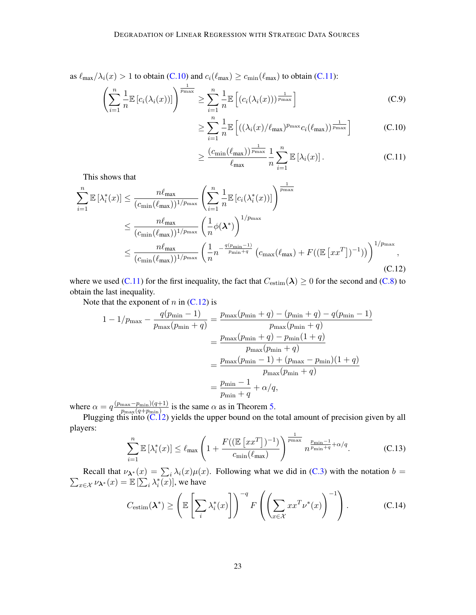as  $\ell_{\text{max}}/\lambda_i(x) > 1$  to obtain [\(C.10\)](#page-22-1) and  $c_i(\ell_{\text{max}}) \ge c_{\text{min}}(\ell_{\text{max}})$  to obtain [\(C.11\)](#page-22-2):

$$
\left(\sum_{i=1}^{n} \frac{1}{n} \mathbb{E}\left[c_i(\lambda_i(x))\right]\right)^{\frac{1}{p_{\max}}} \ge \sum_{i=1}^{n} \frac{1}{n} \mathbb{E}\left[\left(c_i(\lambda_i(x))\right)^{\frac{1}{p_{\max}}}\right]
$$
\n(C.9)

<span id="page-22-2"></span><span id="page-22-1"></span><span id="page-22-0"></span>
$$
\geq \sum_{i=1}^{n} \frac{1}{n} \mathbb{E}\left[ \left( \left( \lambda_i(x) / \ell_{\text{max}} \right)^{p_{\text{max}}} c_i(\ell_{\text{max}}) \right)^{\frac{1}{p_{\text{max}}}} \right] \tag{C.10}
$$

<span id="page-22-3"></span>
$$
\geq \frac{(c_{\min}(\ell_{\max}))^{\frac{1}{p_{\max}}}}{\ell_{\max}} \frac{1}{n} \sum_{i=1}^{n} \mathbb{E}\left[\lambda_i(x)\right].
$$
 (C.11)

This shows that

$$
\sum_{i=1}^{n} \mathbb{E} \left[ \lambda_{i}^{*}(x) \right] \leq \frac{n \ell_{\max}}{(c_{\min}(\ell_{\max}))^{1/p_{\max}}} \left( \sum_{i=1}^{n} \frac{1}{n} \mathbb{E} \left[ c_{i}(\lambda_{i}^{*}(x)) \right] \right)^{\frac{1}{p_{\max}}} \n\leq \frac{n \ell_{\max}}{(c_{\min}(\ell_{\max}))^{1/p_{\max}}} \left( \frac{1}{n} \phi(\boldsymbol{\lambda}^{*}) \right)^{1/p_{\max}} \n\leq \frac{n \ell_{\max}}{(c_{\min}(\ell_{\max}))^{1/p_{\max}}} \left( \frac{1}{n} n^{-\frac{q(p_{\min}-1)}{p_{\min}+q}} \left( c_{\max}(\ell_{\max}) + F((\mathbb{E} \left[ xx^{T} \right])^{-1}) \right) \right)^{1/p_{\max}},
$$
\n(C.12)

where we used [\(C.11\)](#page-22-2) for the first inequality, the fact that  $C_{\text{estim}}(\lambda) \ge 0$  for the second and [\(C.8\)](#page-21-3) to obtain the last inequality.

Note that the exponent of  $n$  in  $(C.12)$  is

$$
1 - 1/p_{\max} - \frac{q(p_{\min} - 1)}{p_{\max}(p_{\min} + q)} = \frac{p_{\max}(p_{\min} + q) - (p_{\min} + q) - q(p_{\min} - 1)}{p_{\max}(p_{\min} + q)}
$$

$$
= \frac{p_{\max}(p_{\min} + q) - p_{\min}(1 + q)}{p_{\max}(p_{\min} + q)}
$$

$$
= \frac{p_{\max}(p_{\min} - 1) + (p_{\max} - p_{\min})(1 + q)}{p_{\max}(p_{\min} + q)}
$$

$$
= \frac{p_{\min} - 1}{p_{\min} + q} + \alpha/q,
$$

where  $\alpha = q \frac{(p_{\text{max}}-p_{\text{min}})(q+1)}{q_{\text{max}}(q+1)}$  $\frac{\max \{-p_{\min}(q+1)\}}{p_{\max}(q+p_{\min})}$  is the same  $\alpha$  as in Theorem [5.](#page-9-0)

Plugging this into  $(C.12)$  yields the upper bound on the total amount of precision given by all players:

<span id="page-22-5"></span>
$$
\sum_{i=1}^{n} \mathbb{E}\left[\lambda_i^*(x)\right] \le \ell_{\max}\left(1 + \frac{F((\mathbb{E}\left[x x^T\right])^{-1})}{c_{\min}(\ell_{\max})}\right)^{\frac{1}{p_{\max}}} n^{\frac{p_{\min}-1}{p_{\min}+q} + \alpha/q}.
$$
 (C.13)

Recall that  $\nu_{\lambda^*}(x) = \sum_i$ <br>  $\sum_{x \in \mathcal{X}} \nu_{\lambda^*}(x) = \mathbb{E} \left[ \sum_i \lambda_i^*(x) \right]$  $\lambda_i(x)\mu(x)$ . Following what we did in [\(C.3\)](#page-20-1) with the notation  $b =$  $_{x\in\mathcal{X}}\nu_{\lambda^*}(x)=\mathbb{E}\left[\sum_i\lambda_i^*(x)\right]$ , we have

<span id="page-22-4"></span>
$$
C_{\text{estim}}(\boldsymbol{\lambda}^*) \ge \left(\mathbb{E}\left[\sum_i \lambda_i^*(x)\right]\right)^{-q} F\left(\left(\sum_{x \in \mathcal{X}} x x^T \nu^*(x)\right)^{-1}\right). \tag{C.14}
$$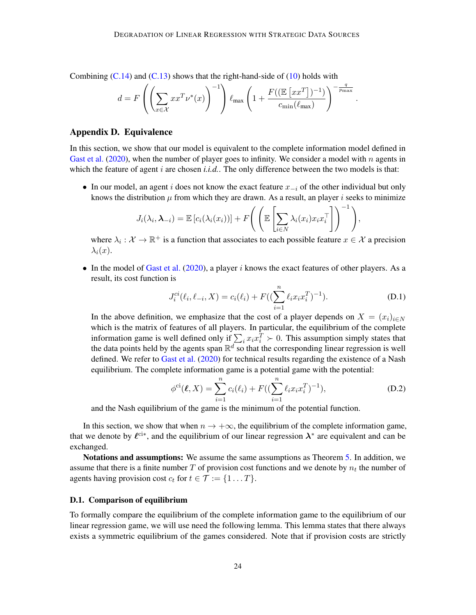Combining  $(C.14)$  and  $(C.13)$  shows that the right-hand-side of  $(10)$  holds with

$$
d = F\left(\left(\sum_{x \in \mathcal{X}} xx^T \nu^*(x)\right)^{-1}\right) \ell_{\max}\left(1 + \frac{F((\mathbb{E}\left[xx^T\right])^{-1})}{c_{\min}(\ell_{\max})}\right)^{-\frac{q}{p_{\max}}}. \math>
$$

#### <span id="page-23-0"></span>Appendix D. Equivalence

In this section, we show that our model is equivalent to the complete information model defined in [Gast et al.](#page-14-6) [\(2020\)](#page-14-6), when the number of player goes to infinity. We consider a model with n agents in which the feature of agent  $i$  are chosen  $i.i.d.$  The only difference between the two models is that:

• In our model, an agent i does not know the exact feature  $x_{-i}$  of the other individual but only knows the distribution  $\mu$  from which they are drawn. As a result, an player i seeks to minimize

$$
J_i(\lambda_i, \boldsymbol{\lambda}_{-i}) = \mathbb{E}\left[c_i(\lambda_i(x_i))\right] + F\left(\left(\mathbb{E}\left[\sum_{i \in N} \lambda_i(x_i)x_i x_i^\top\right]\right)^{-1}\right)
$$

where  $\lambda_i : \mathcal{X} \to \mathbb{R}^+$  is a function that associates to each possible feature  $x \in \mathcal{X}$  a precision  $\lambda_i(x)$ .

• In the model of [Gast et al.](#page-14-6)  $(2020)$ , a player i knows the exact features of other players. As a result, its cost function is

$$
J_i^{ci}(\ell_i, \ell_{-i}, X) = c_i(\ell_i) + F((\sum_{i=1}^n \ell_i x_i x_i^T)^{-1}).
$$
 (D.1)

,

In the above definition, we emphasize that the cost of a player depends on  $X = (x_i)_{i \in N}$ which is the matrix of features of all players. In particular, the equilibrium of the complete information game is well defined only if  $\sum_i x_i x_i^T \succ 0$ . This assumption simply states that the data points held by the agents span  $\mathbb{R}^d$  so that the corresponding linear regression is well defined. We refer to [Gast et al.](#page-14-6) [\(2020\)](#page-14-6) for technical results regarding the existence of a Nash equilibrium. The complete information game is a potential game with the potential:

$$
\phi^{\text{ci}}(\ell, X) = \sum_{i=1}^{n} c_i(\ell_i) + F((\sum_{i=1}^{n} \ell_i x_i x_i^T)^{-1}), \tag{D.2}
$$

and the Nash equilibrium of the game is the minimum of the potential function.

In this section, we show that when  $n \to +\infty$ , the equilibrium of the complete information game, that we denote by  $\ell^{ci*}$ , and the equilibrium of our linear regression  $\lambda^*$  are equivalent and can be exchanged.

Notations and assumptions: We assume the same assumptions as Theorem [5.](#page-9-0) In addition, we assume that there is a finite number T of provision cost functions and we denote by  $n_t$  the number of agents having provision cost  $c_t$  for  $t \in \mathcal{T} := \{1 \dots T\}.$ 

#### D.1. Comparison of equilibrium

To formally compare the equilibrium of the complete information game to the equilibrium of our linear regression game, we will use need the following lemma. This lemma states that there always exists a symmetric equilibrium of the games considered. Note that if provision costs are strictly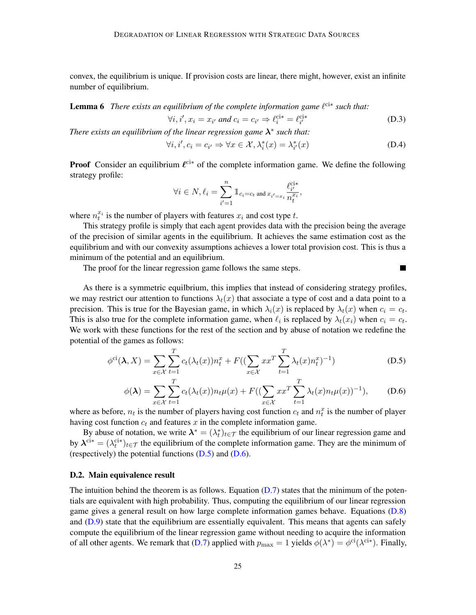convex, the equilibrium is unique. If provision costs are linear, there might, however, exist an infinite number of equilibrium.

**Lemma 6** There exists an equilibrium of the complete information game  $\ell^{cis}$  such that:

$$
\forall i, i', x_i = x_{i'} \text{ and } c_i = c_{i'} \Rightarrow \ell_i^{\text{ci}*} = \ell_{i'}^{\text{ci}*} \tag{D.3}
$$

*There exists an equilibrium of the linear regression game*  $\lambda^*$  *such that:* 

$$
\forall i, i', c_i = c_{i'} \Rightarrow \forall x \in \mathcal{X}, \lambda_i^*(x) = \lambda_{i'}^*(x)
$$
 (D.4)

<span id="page-24-1"></span><span id="page-24-0"></span>П

**Proof** Consider an equilibrium  $\ell^{cik}$  of the complete information game. We define the following strategy profile:

$$
\forall i \in N, \ell_i = \sum_{i'=1}^n \mathbb{1}_{c_i = c_t \text{ and } x_{i'=x_i}} \frac{\ell_{i'}^{\text{ci}*}}{n_i^{x_i}},
$$

where  $n_t^{x_i}$  is the number of players with features  $x_i$  and cost type t.

This strategy profile is simply that each agent provides data with the precision being the average of the precision of similar agents in the equilibrium. It achieves the same estimation cost as the equilibrium and with our convexity assumptions achieves a lower total provision cost. This is thus a minimum of the potential and an equilibrium.

The proof for the linear regression game follows the same steps.

As there is a symmetric equilbrium, this implies that instead of considering strategy profiles, we may restrict our attention to functions  $\lambda_t(x)$  that associate a type of cost and a data point to a precision. This is true for the Bayesian game, in which  $\lambda_i(x)$  is replaced by  $\lambda_i(x)$  when  $c_i = c_t$ . This is also true for the complete information game, when  $\ell_i$  is replaced by  $\lambda_t(x_i)$  when  $c_i = c_t$ . We work with these functions for the rest of the section and by abuse of notation we redefine the potential of the games as follows:

$$
\phi^{\text{ci}}(\lambda, X) = \sum_{x \in \mathcal{X}} \sum_{t=1}^{T} c_t(\lambda_t(x)) n_t^x + F((\sum_{x \in \mathcal{X}} xx^T \sum_{t=1}^{T} \lambda_t(x) n_t^x)^{-1})
$$
(D.5)

$$
\phi(\lambda) = \sum_{x \in \mathcal{X}} \sum_{t=1}^{T} c_t(\lambda_t(x)) n_t \mu(x) + F\left((\sum_{x \in \mathcal{X}} x x^T \sum_{t=1}^{T} \lambda_t(x) n_t \mu(x))^{-1}\right), \quad (D.6)
$$

where as before,  $n_t$  is the number of players having cost function  $c_t$  and  $n_t^x$  is the number of player having cost function  $c_t$  and features  $x$  in the complete information game.

By abuse of notation, we write  $\lambda^* = (\lambda_t^*)_{t \in \mathcal{T}}$  the equilibrium of our linear regression game and by  $\lambda^{ci*} = (\lambda_t^{ci*})_{t \in \mathcal{T}}$  the equilibrium of the complete information game. They are the minimum of (respectively) the potential functions  $(D.5)$  and  $(D.6)$ .

#### D.2. Main equivalence result

The intuition behind the theorem is as follows. Equation  $(D.7)$  states that the minimum of the potentials are equivalent with high probability. Thus, computing the equilibrium of our linear regression game gives a general result on how large complete information games behave. Equations [\(D.8\)](#page-25-1) and  $(D.9)$  state that the equilibrium are essentially equivalent. This means that agents can safely compute the equilibrium of the linear regression game without needing to acquire the information of all other agents. We remark that [\(D.7\)](#page-25-0) applied with  $p_{\text{max}} = 1$  yields  $\phi(\lambda^*) = \phi^{\text{ci}}(\lambda^{\text{ci}*})$ . Finally,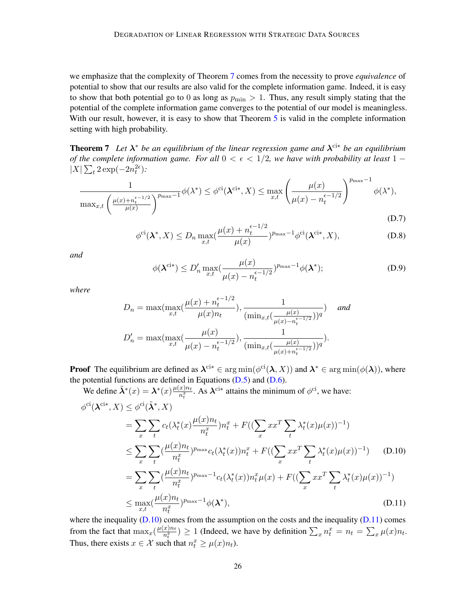we emphasize that the complexity of Theorem [7](#page-25-3) comes from the necessity to prove *equivalence* of potential to show that our results are also valid for the complete information game. Indeed, it is easy to show that both potential go to 0 as long as  $p_{\min} > 1$ . Thus, any result simply stating that the potential of the complete information game converges to the potential of our model is meaningless. With our result, however, it is easy to show that Theorem [5](#page-9-0) is valid in the complete information setting with high probability.

<span id="page-25-3"></span>Theorem 7 *Let* λ <sup>∗</sup> *be an equilibrium of the linear regression game and* λ ci<sup>∗</sup> *be an equilibrium of the complete information game. For all*  $0 < \epsilon < 1/2$ , we have with probability at least 1 −  $|X|\sum_{t} 2\exp(-2n_t^{2\epsilon})$ :

<span id="page-25-0"></span>
$$
\frac{1}{\max_{x,t} \left(\frac{\mu(x) + n_t^{\epsilon - 1/2}}{\mu(x)}\right)^{p_{\max} - 1}} \phi(\lambda^*) \leq \phi^{\text{ci}}(\lambda^{\text{ci}*}, X) \leq \max_{x,t} \left(\frac{\mu(x)}{\mu(x) - n_t^{\epsilon - 1/2}}\right)^{p_{\max} - 1} \phi(\lambda^*),
$$

<span id="page-25-5"></span><span id="page-25-4"></span>
$$
(D.7)
$$

<span id="page-25-1"></span>
$$
\phi^{\mathrm{ci}}(\boldsymbol{\lambda}^*, X) \le D_n \max_{x,t} \left(\frac{\mu(x) + n_t^{\epsilon - 1/2}}{\mu(x)}\right)^{p_{\max} - 1} \phi^{\mathrm{ci}}(\boldsymbol{\lambda}^{\mathrm{ci}*}, X),\tag{D.8}
$$

*and*

<span id="page-25-2"></span>
$$
\phi(\boldsymbol{\lambda}^{\mathrm{ci}*}) \le D'_n \max_{x,t} \left(\frac{\mu(x)}{\mu(x) - n_t^{\epsilon - 1/2}}\right)^{p_{\max} - 1} \phi(\boldsymbol{\lambda}^*); \tag{D.9}
$$

*where*

$$
D_n = \max(\max_{x,t} (\frac{\mu(x) + n_t^{\epsilon - 1/2}}{\mu(x)n_t}), \frac{1}{(\min_{x,t} (\frac{\mu(x)}{\mu(x) - n_t^{\epsilon - 1/2}}))^q}) \quad and
$$
  

$$
D'_n = \max(\max_{x,t} (\frac{\mu(x)}{\mu(x) - n_t^{\epsilon - 1/2}}), \frac{1}{(\min_{x,t} (\frac{\mu(x)}{\mu(x) + n_t^{\epsilon - 1/2}}))^q}).
$$

**Proof** The equilibrium are defined as  $\lambda^{ci*} \in \arg \min(\phi^{ci}(\lambda, X))$  and  $\lambda^* \in \arg \min(\phi(\lambda))$ , where the potential functions are defined in Equations  $(D.5)$  and  $(D.6)$ .  $\mathcal{L}$   $\downarrow$  ci we h

We define 
$$
\tilde{\lambda}^*(x) = \lambda^*(x) \frac{\mu(x)n_t}{n_t^x}
$$
. As  $\lambda^{\text{ci}*}$  attains the minimum of  $\phi^{\text{ci}}$ , we have:  
\n
$$
\phi^{\text{ci}}(\lambda^{\text{ci}*}, X) \leq \phi^{\text{ci}}(\tilde{\lambda}^*, X)
$$
\n
$$
= \sum_x \sum_t c_t(\lambda_t^*(x) \frac{\mu(x)n_t}{n_t^x}) n_t^x + F((\sum_x x x^T \sum_t \lambda_t^*(x) \mu(x))^{-1})
$$
\n
$$
\leq \sum_x \sum_t (\frac{\mu(x)n_t}{n_t^x})^{p_{\text{max}}} c_t(\lambda_t^*(x)) n_t^x + F((\sum_x x x^T \sum_t \lambda_t^*(x) \mu(x))^{-1}) \quad \text{(D.10)}
$$
\n
$$
= \sum_x \sum_t (\frac{\mu(x)n_t}{n_t^x})^{p_{\text{max}}-1} c_t(\lambda_t^*(x)) n_t^x \mu(x) + F((\sum_x x x^T \sum_t \lambda_t^*(x) \mu(x))^{-1})
$$
\n
$$
\leq \max_{x, t} (\frac{\mu(x)n_t}{n_t^x})^{p_{\text{max}}-1} \phi(\lambda^*), \quad \text{(D.11)}
$$

where the inequality  $(D.10)$  comes from the assumption on the costs and the inequality  $(D.11)$  comes from the fact that  $\max_x(\frac{\mu(x)n_t}{n^x})$  $\frac{x}{n_t^{x}}$ )  $\geq 1$  (Indeed, we have by definition  $\sum_{x} n_t^{x} = n_t = \sum_{x} \mu(x) n_t$ . Thus, there exists  $x \in \mathcal{X}$  such that  $n_t^x \ge \mu(x)n_t$ .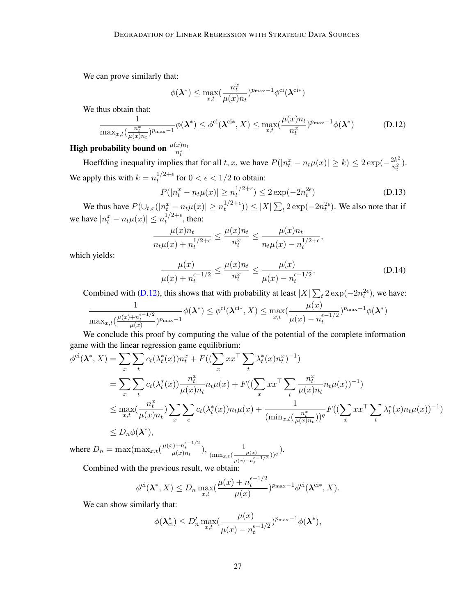We can prove similarly that:

$$
\phi(\boldsymbol\lambda^*) \leq \max_{x,t} (\frac{n_t^x}{\mu(x)n_t})^{p_{\max}-1}\phi^{\text{ci}}(\boldsymbol\lambda^{\text{ci}*})
$$

We thus obtain that:

<span id="page-26-0"></span>
$$
\frac{1}{\max_{x,t}(\frac{n_t^x}{\mu(x)n_t})^{p_{\max}-1}}\phi(\boldsymbol{\lambda}^*) \leq \phi^{\text{ci}}(\boldsymbol{\lambda}^{\text{ci}*}, X) \leq \max_{x,t}(\frac{\mu(x)n_t}{n_t^x})^{p_{\max}-1}\phi(\boldsymbol{\lambda}^*)
$$
(D.12)

# High probability bound on  $\frac{\mu(x)n_t}{n_t^x}$

Hoeffding inequality implies that for all t, x, we have  $P(|n_t^x - n_t\mu(x)| \ge k) \le 2\exp(-\frac{2k^2}{n_t^2})$  $\frac{2k^2}{n_t^2}$ ). We apply this with  $k = n_t^{1/2 + \epsilon}$  $t^{1/2+\epsilon}$  for  $0 < \epsilon < 1/2$  to obtain:

$$
P(|n_t^x - n_t\mu(x)| \ge n_t^{1/2 + \epsilon}) \le 2\exp(-2n_t^{2\epsilon})
$$
\n(D.13)

We thus have  $P(\bigcup_{t,x} (|n_t^x - n_t \mu(x)| \ge n_t^{1/2 + \epsilon})$  $t_1^{1/2+\epsilon}$ ))  $\leq |X| \sum_{t} 2 \exp(-2n_t^{2\epsilon})$ . We also note that if we have  $|n_t^x - n_t \mu(x)| \leq n_t^{1/2 + \epsilon}$  $t^{1/2+\epsilon}$ , then:

$$
\frac{\mu(x)n_t}{n_t\mu(x) + n_t^{1/2+\epsilon}} \le \frac{\mu(x)n_t}{n_t^x} \le \frac{\mu(x)n_t}{n_t\mu(x) - n_t^{1/2+\epsilon}},
$$

which yields:

$$
\frac{\mu(x)}{\mu(x) + n_t^{\epsilon - 1/2}} \le \frac{\mu(x)n_t}{n_t^x} \le \frac{\mu(x)}{\mu(x) - n_t^{\epsilon - 1/2}}.
$$
\n(D.14)

Combined with [\(D.12\)](#page-26-0), this shows that with probability at least  $|X| \sum_{t} 2 \exp(-2n_t^{2\epsilon})$ , we have:

$$
\frac{1}{\max_{x,t}(\frac{\mu(x)+n_t^{\epsilon-1/2}}{\mu(x)})^{p_{\max}-1}}\phi(\boldsymbol{\lambda}^*)\leq\phi^{\text{ci}}(\boldsymbol{\lambda}^{\text{ci}*},X)\leq\max_{x,t}(\frac{\mu(x)}{\mu(x)-n_t^{\epsilon-1/2}})^{p_{\max}-1}\phi(\boldsymbol{\lambda}^*)
$$

We conclude this proof by computing the value of the potential of the complete information game with the linear regression game equilibrium:

$$
\phi^{\text{ci}}(\lambda^*, X) = \sum_{x} \sum_{t} c_t(\lambda_t^*(x)) n_t^x + F((\sum_{x} x^x \sum_{t} \lambda_t^*(x) n_t^x)^{-1})
$$
  
\n
$$
= \sum_{x} \sum_{t} c_t(\lambda_t^*(x)) \frac{n_t^x}{\mu(x) n_t} n_t \mu(x) + F((\sum_{x} x^x \sum_{t} \frac{n_t^x}{\mu(x) n_t} n_t \mu(x))^{-1})
$$
  
\n
$$
\leq \max_{x, t} (\frac{n_t^x}{\mu(x) n_t}) \sum_{x} \sum_{c} c_t(\lambda_t^*(x)) n_t \mu(x) + \frac{1}{(\min_{x, t} (\frac{n_t^x}{\mu(x) n_t}))^q} F((\sum_{x} x^x \sum_{t} \lambda_t^*(x) n_t \mu(x))^{-1})
$$
  
\n
$$
\leq D_n \phi(\lambda^*),
$$

where  $D_n = \max(\max_{x,t}(\frac{\mu(x) + n_t^{\epsilon-1/2}}{\mu(x)n_t}), \frac{1}{(\min_{x,t}(\ldots)))}$  $(\min_{x,t}(\frac{\mu(x)}{\epsilon})$  $u(x)-n_t^{\epsilon-1/2}$  $\frac{1}{\left( \frac{\gamma}{q} \right)}$ .

Combined with the previous result, we obtain:

$$
\phi^{\mathrm{ci}}(\boldsymbol{\lambda}^*,X) \le D_n \max_{x,t} (\frac{\mu(x) + n_t^{\epsilon-1/2}}{\mu(x)})^{p_{\max}-1} \phi^{\mathrm{ci}}(\boldsymbol{\lambda}^{\mathrm{ci}*},X).
$$

We can show similarly that:

$$
\phi(\boldsymbol{\lambda}_{ci}^*) \le D'_n \max_{x,t} \left(\frac{\mu(x)}{\mu(x) - n_t^{\epsilon - 1/2}}\right)^{p_{\max} - 1} \phi(\boldsymbol{\lambda}^*),
$$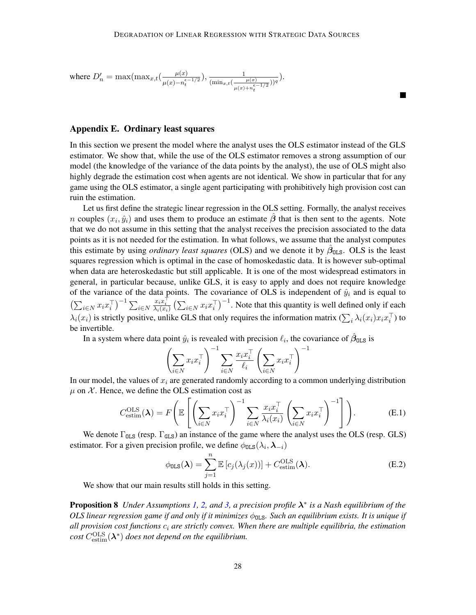where 
$$
D'_n = \max(\max_{x,t}(\frac{\mu(x)}{\mu(x) - n_t^{\epsilon - 1/2}}), \frac{1}{(\min_{x,t}(\frac{\mu(x)}{\mu(x) + n_t^{\epsilon - 1/2}}))^q}).
$$

**In the Second** 

#### <span id="page-27-0"></span>Appendix E. Ordinary least squares

In this section we present the model where the analyst uses the OLS estimator instead of the GLS estimator. We show that, while the use of the OLS estimator removes a strong assumption of our model (the knowledge of the variance of the data points by the analyst), the use of OLS might also highly degrade the estimation cost when agents are not identical. We show in particular that for any game using the OLS estimator, a single agent participating with prohibitively high provision cost can ruin the estimation.

Let us first define the strategic linear regression in the OLS setting. Formally, the analyst receives *n* couples  $(x_i, \hat{y}_i)$  and uses them to produce an estimate  $\hat{\beta}$  that is then sent to the agents. Note that we do not assume in this setting that the analyst receives the precision associated to the data points as it is not needed for the estimation. In what follows, we assume that the analyst computes this estimate by using *ordinary least squares* (OLS) and we denote it by  $\hat{\beta}_{\text{OLS}}$ . OLS is the least squares regression which is optimal in the case of homoskedastic data. It is however sub-optimal when data are heteroskedastic but still applicable. It is one of the most widespread estimators in general, in particular because, unlike GLS, it is easy to apply and does not require knowledge of the variance of the data points. The covariance of OLS is independent of  $\hat{y}_i$  and is equal to  $\left(\sum_{i\in N} x_i x_i^\top\right)^{-1} \sum_{i\in N}$  $\frac{x_i x_i^{\top}}{\lambda_i(x_i)} \left( \sum_{i \in N} x_i x_i^{\top} \right)^{-1}$ . Note that this quantity is well defined only if each  $\lambda_i(x_i)$  is strictly positive, unlike GLS that only requires the information matrix  $(\sum_i \lambda_i(x_i)x_ix_i^{\top})$  to be invertible.

In a system where data point  $\hat{y}_i$  is revealed with precision  $\ell_i$ , the covariance of  $\hat{\beta}_{0LS}$  is

$$
\left(\sum_{i\in N} x_i x_i^\top\right)^{-1} \sum_{i\in N} \frac{x_i x_i^\top}{\ell_i} \left(\sum_{i\in N} x_i x_i^\top\right)^{-1}
$$

In our model, the values of  $x_i$  are generated randomly according to a common underlying distribution  $\mu$  on X. Hence, we define the OLS estimation cost as

$$
C_{\text{estim}}^{\text{OLS}}(\boldsymbol{\lambda}) = F\left(\mathbb{E}\left[\left(\sum_{i\in N} x_i x_i^\top\right)^{-1} \sum_{i\in N} \frac{x_i x_i^\top}{\lambda_i(x_i)} \left(\sum_{i\in N} x_i x_i^\top\right)^{-1}\right]\right). \tag{E.1}
$$

We denote  $\Gamma_{OLS}$  (resp.  $\Gamma_{GLS}$ ) an instance of the game where the analyst uses the OLS (resp. GLS) estimator. For a given precision profile, we define  $\phi_{\text{OLS}}(\lambda_i, \lambda_{-i})$ 

$$
\phi_{\text{OLS}}(\boldsymbol{\lambda}) = \sum_{j=1}^{n} \mathbb{E} \left[ c_j(\lambda_j(x)) \right] + C_{\text{estim}}^{\text{OLS}}(\boldsymbol{\lambda}).
$$
 (E.2)

We show that our main results still holds in this setting.

Proposition 8 *Under Assumptions [1,](#page-5-1) [2,](#page-5-2) and [3,](#page-5-3) a precision profile* λ ∗ *is a Nash equilibrium of the OLS linear regression game if and only if it minimizes*  $φ_{\text{OLS}}$ *. Such an equilibrium exists. It is unique if all provision cost functions* c<sup>i</sup> *are strictly convex. When there are multiple equilibria, the estimation*  $cost \, \text{C}_{\text{estim}}^{\text{OLS}}(\boldsymbol{\lambda}^*)$  *does not depend on the equilibrium.*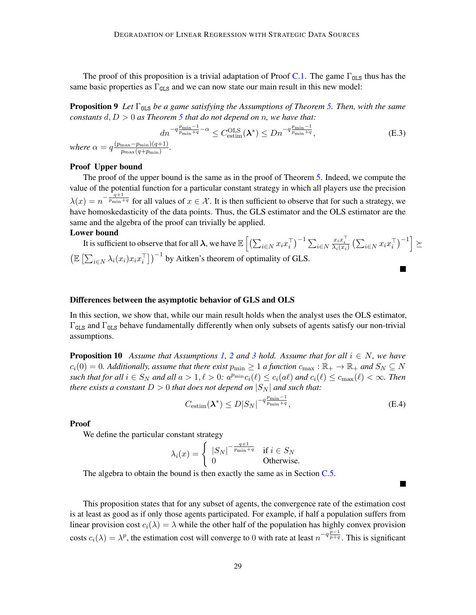The proof of this proposition is a trivial adaptation of Proof [C.1.](#page-18-1) The game  $\Gamma_{OLS}$  thus has the same basic properties as  $\Gamma_{\text{GLS}}$  and we can now state our main result in this new model:

**Proposition 9** Let Γ<sub>OLS</sub> be a game satisfying the Assumptions of Theorem [5.](#page-9-0) Then, with the same *constants*  $d, D > 0$  *as Theorem* [5](#page-9-0) *that do not depend on n, we have that:* 

$$
dn^{-q\frac{p_{\min}-1}{p_{\min}+q}-\alpha} \le C_{\text{estim}}^{\text{OLS}}(\boldsymbol{\lambda}^*) \le Dn^{-q\frac{p_{\min}-1}{p_{\min}+q}},\tag{E.3}
$$

*where*  $\alpha = q^2$  $p_{\text{max}}(q+p_{\text{min}})$ 

#### Proof Upper bound

The proof of the upper bound is the same as in the proof of Theorem [5.](#page-9-0) Indeed, we compute the value of the potential function for a particular constant strategy in which all players use the precision  $\lambda(x) = n^{-\frac{q+1}{p_{\min}+q}}$  for all values of  $x \in \mathcal{X}$ . It is then sufficient to observe that for such a strategy, we have homoskedasticity of the data points. Thus, the GLS estimator and the OLS estimator are the same and the algebra of the proof can trivially be applied.

#### Lower bound

It is sufficient to observe that for all  $\bm{\lambda},$  we have  $\mathbb{E}\left[\left(\sum_{i\in N}x_ix_i^\top\right)^{-1}\sum_{i\in N}$  $\frac{x_ix_i^{\top}}{\lambda_i(x_i)}\left(\sum_{i\in N}x_ix_i^{\top}\right)^{-1}\geq$  $\left(\mathbb{E}\left[\sum_{i\in N} \lambda_i(x_i) x_i x_i^\top \right]\right)^{-1}$  by Aitken's theorem of optimality of GLS.

#### Differences between the asymptotic behavior of GLS and OLS

In this section, we show that, while our main result holds when the analyst uses the OLS estimator,  $\Gamma_{GLS}$  and  $\Gamma_{OLS}$  behave fundamentally differently when only subsets of agents satisfy our non-trivial assumptions.

<span id="page-28-0"></span>**Proposition 10** *Assume that Assumptions* [1,](#page-5-1) [2](#page-5-2) *and* [3](#page-5-3) *hold. Assume that for all*  $i \in N$ *, we have*  $c_i(0) = 0$ . Additionally, assume that there exist  $p_{\min} \ge 1$  a function  $c_{\max} : \mathbb{R}_+ \to \mathbb{R}_+$  and  $S_N \subseteq N$ *such that for all*  $i \in S_N$  *and all*  $a > 1, \ell > 0$ :  $a^{p_{\min}}c_i(\ell) \le c_i(a\ell)$  *and*  $c_i(\ell) \le c_{\max}(\ell) < \infty$ *. Then there exists a constant*  $D > 0$  *that does not depend on*  $|S_N|$  *and such that:* 

$$
C_{\text{estim}}(\boldsymbol{\lambda}^*) \le D|S_N|^{-q\frac{p_{\min}-1}{p_{\min}+q}},\tag{E.4}
$$

a s

Proof

We define the particular constant strategy

$$
\lambda_i(x)=\left\{\begin{array}{ll} {|S_N|}^{-\frac{q+1}{p_{\min}+q}} & \text{if } i\in S_N \\ 0 & \text{Otherwise.} \end{array}\right.
$$

The algebra to obtain the bound is then exactly the same as in Section [C.5.](#page-21-4)

This proposition states that for any subset of agents, the convergence rate of the estimation cost is at least as good as if only those agents participated. For example, if half a population suffers from linear provision cost  $c_i(\lambda) = \lambda$  while the other half of the population has highly convex provision costs  $c_i(\lambda) = \lambda^p$ , the estimation cost will converge to 0 with rate at least  $n^{-q} \frac{p-1}{p+q}$ . This is significant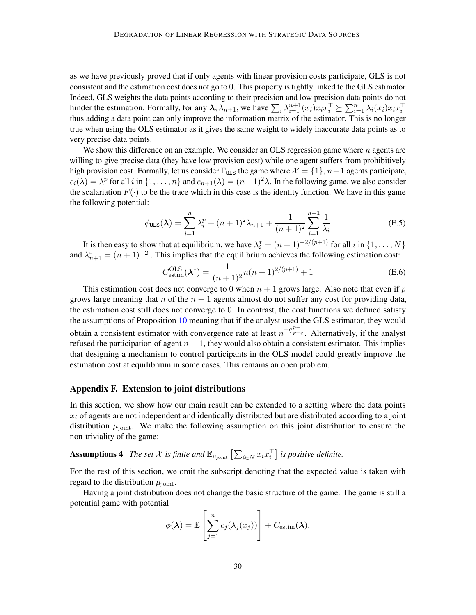as we have previously proved that if only agents with linear provision costs participate, GLS is not consistent and the estimation cost does not go to 0. This property is tightly linked to the GLS estimator. Indeed, GLS weights the data points according to their precision and low precision data points do not hinder the estimation. Formally, for any  $\lambda$ ,  $\lambda_{n+1}$ , we have  $\sum_i \lambda_{i=1}^{n+1} (x_i) x_i x_i^{\top} \succeq \sum_{i=1}^n \lambda_i (x_i) x_i x_i^{\top}$ thus adding a data point can only improve the information matrix of the estimator. This is no longer true when using the OLS estimator as it gives the same weight to widely inaccurate data points as to very precise data points.

We show this difference on an example. We consider an OLS regression game where  $n$  agents are willing to give precise data (they have low provision cost) while one agent suffers from prohibitively high provision cost. Formally, let us consider  $\Gamma_{\text{OLS}}$  the game where  $\mathcal{X} = \{1\}$ ,  $n+1$  agents participate,  $c_i(\lambda) = \lambda^p$  for all i in  $\{1, \dots, n\}$  and  $c_{n+1}(\lambda) = (n+1)^2 \lambda$ . In the following game, we also consider the scalariation  $F(\cdot)$  to be the trace which in this case is the identity function. We have in this game the following potential:

$$
\phi_{\text{OLS}}(\lambda) = \sum_{i=1}^{n} \lambda_i^p + (n+1)^2 \lambda_{n+1} + \frac{1}{(n+1)^2} \sum_{i=1}^{n+1} \frac{1}{\lambda_i}
$$
(E.5)

It is then easy to show that at equilibrium, we have  $\lambda_i^* = (n+1)^{-2/(p+1)}$  for all i in  $\{1, \ldots, N\}$ and  $\lambda_{n+1}^* = (n+1)^{-2}$ . This implies that the equilibrium achieves the following estimation cost:

$$
C_{\text{estim}}^{\text{OLS}}(\boldsymbol{\lambda}^*) = \frac{1}{(n+1)^2} n(n+1)^{2/(p+1)} + 1
$$
 (E.6)

This estimation cost does not converge to 0 when  $n + 1$  grows large. Also note that even if p grows large meaning that n of the  $n + 1$  agents almost do not suffer any cost for providing data, the estimation cost still does not converge to 0. In contrast, the cost functions we defined satisfy the assumptions of Proposition [10](#page-28-0) meaning that if the analyst used the GLS estimator, they would obtain a consistent estimator with convergence rate at least  $n^{-q} \frac{p-1}{p+q}$ . Alternatively, if the analyst refused the participation of agent  $n + 1$ , they would also obtain a consistent estimator. This implies that designing a mechanism to control participants in the OLS model could greatly improve the estimation cost at equilibrium in some cases. This remains an open problem.

#### <span id="page-29-0"></span>Appendix F. Extension to joint distributions

In this section, we show how our main result can be extended to a setting where the data points  $x_i$  of agents are not independent and identically distributed but are distributed according to a joint distribution  $\mu_{\text{joint}}$ . We make the following assumption on this joint distribution to ensure the non-triviality of the game:

**Assumptions 4** The set X is finite and  $\mathbb{E}_{\mu_{\text{joint}}}$   $\left[\sum_{i \in N} x_i x_i^{\top}\right]$  is positive definite.

For the rest of this section, we omit the subscript denoting that the expected value is taken with regard to the distribution  $\mu_{\text{joint}}$ .

Having a joint distribution does not change the basic structure of the game. The game is still a potential game with potential

<span id="page-29-1"></span>
$$
\phi(\boldsymbol{\lambda}) = \mathbb{E}\left[\sum_{j=1}^{n} c_j(\lambda_j(x_j))\right] + C_{\text{estim}}(\boldsymbol{\lambda}).
$$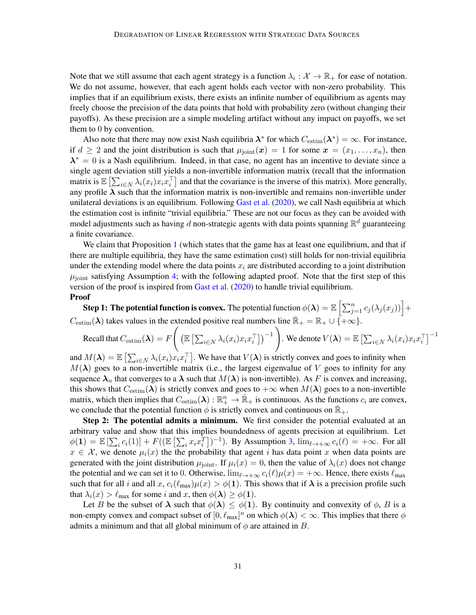Note that we still assume that each agent strategy is a function  $\lambda_i : \mathcal{X} \to \mathbb{R}_+$  for ease of notation. We do not assume, however, that each agent holds each vector with non-zero probability. This implies that if an equilibrium exists, there exists an infinite number of equilibrium as agents may freely choose the precision of the data points that hold with probability zero (without changing their payoffs). As these precision are a simple modeling artifact without any impact on payoffs, we set them to 0 by convention.

Also note that there may now exist Nash equilibria  $\lambda^*$  for which  $C_{\text{estim}}(\lambda^*) = \infty$ . For instance, if  $d \geq 2$  and the joint distribution is such that  $\mu_{\text{joint}}(x) = 1$  for some  $x = (x_1, \ldots, x_n)$ , then  $\lambda^* = 0$  is a Nash equilibrium. Indeed, in that case, no agent has an incentive to deviate since a single agent deviation still yields a non-invertible information matrix (recall that the information matrix is  $\mathbb{E}\left[\sum_{i\in N} \lambda_i(x_i)x_i x_i^{\top}\right]$  and that the covariance is the inverse of this matrix). More generally, any profile  $\lambda$  such that the information matrix is non-invertible and remains non-invertible under unilateral deviations is an equilibrium. Following [Gast et al.](#page-14-6) [\(2020\)](#page-14-6), we call Nash equilibria at which the estimation cost is infinite "trivial equilibria." These are not our focus as they can be avoided with model adjustments such as having d non-strategic agents with data points spanning  $\mathbb{R}^d$  guaranteeing a finite covariance.

We claim that Proposition [1](#page-6-1) (which states that the game has at least one equilibrium, and that if there are multiple equilibria, they have the same estimation cost) still holds for non-trivial equilibria under the extending model where the data points  $x_i$  are distributed according to a joint distribution  $\mu_{\text{joint}}$  satisfying Assumption [4;](#page-29-1) with the following adapted proof. Note that the first step of this version of the proof is inspired from [Gast et al.](#page-14-6) [\(2020\)](#page-14-6) to handle trivial equilibrium. Proof

**Step 1: The potential function is convex.** The potential function  $\phi(\bm{\lambda}) = \mathbb{E}\left[\sum_{j=1}^n c_j(\lambda_j(x_j))\right] +$  $C_{\text{estim}}(\lambda)$  takes values in the extended positive real numbers line  $\mathbb{R}_+ = \mathbb{R}_+ \cup \{+\infty\}$ .

Recall that  $C_{\rm estim}(\boldsymbol\lambda) = F$  $\sqrt{ }$  $\left(\mathbb{E}\left[\sum_{i\in N}\lambda_i(x_i)x_ix_i^\top\right]\right)^{-1}$ . We denote  $V(\boldsymbol\lambda) = \mathbb{E}\left[ \sum_{i \in N} \lambda_i(x_i) x_i x_i^\top \right]^{-1}$ 

and  $M(\lambda) = \mathbb{E}\left[\sum_{i \in N} \lambda_i(x_i) x_i x_i^{\top}\right]$ . We have that  $V(\lambda)$  is strictly convex and goes to infinity when  $M(\lambda)$  goes to a non-invertible matrix (i.e., the largest eigenvalue of V goes to infinity for any sequence  $\lambda_n$  that converges to a  $\lambda$  such that  $M(\lambda)$  is non-invertible). As F is convex and increasing, this shows that  $C_{estim}(\lambda)$  is strictly convex and goes to  $+\infty$  when  $M(\lambda)$  goes to a non-invertible matrix, which then implies that  $C_{\text{estim}}(\lambda) : \mathbb{R}^n_+ \to \bar{\mathbb{R}}_+$  is continuous. As the functions  $c_i$  are convex, we conclude that the potential function  $\phi$  is strictly convex and continuous on  $\mathbb{R}_+$ .

Step 2: The potential admits a minimum. We first consider the potential evaluated at an arbitrary value and show that this implies boundedness of agents precision at equilibrium. Let  $\phi(1) = \mathbb{E}\left[\sum_i c_i(1)\right] + F((\mathbb{E}\left[\sum_i x_i x_i^T\right])^{-1})$ . By Assumption [3,](#page-5-3)  $\lim_{\ell \to +\infty} c_i(\ell) = +\infty$ . For all  $x \in \mathcal{X}$ , we denote  $\mu_i(x)$  the the probability that agent i has data point x when data points are generated with the joint distribution  $\mu_{\text{joint}}$ . If  $\mu_i(x) = 0$ , then the value of  $\lambda_i(x)$  does not change the potential and we can set it to 0. Otherwise,  $\lim_{\ell \to +\infty} c_i(\ell)\mu(x) = +\infty$ . Hence, there exists  $\ell_{\text{max}}$ such that for all i and all x,  $c_i(\ell_{\text{max}})\mu(x) > \phi(1)$ . This shows that if  $\lambda$  is a precision profile such that  $\lambda_i(x) > \ell_{\text{max}}$  for some i and x, then  $\phi(\lambda) \ge \phi(1)$ .

Let B be the subset of  $\lambda$  such that  $\phi(\lambda) \leq \phi(1)$ . By continuity and convexity of  $\phi$ , B is a non-empty convex and compact subset of  $[0, \ell_{\max}]^n$  on which  $\phi(\lambda) < \infty$ . This implies that there  $\phi$ admits a minimum and that all global minimum of  $\phi$  are attained in B.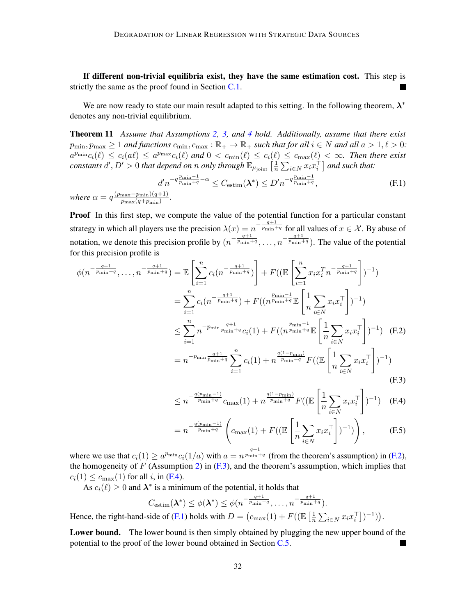If different non-trivial equilibria exist, they have the same estimation cost. This step is strictly the same as the proof found in Section [C.1.](#page-18-1)

We are now ready to state our main result adapted to this setting. In the following theorem,  $\lambda^*$ denotes any non-trivial equilibrium.

<span id="page-31-4"></span>Theorem 11 *Assume that Assumptions [2,](#page-5-2) [3,](#page-5-3) and [4](#page-29-1) hold. Additionally, assume that there exist*  $p_{\min}, p_{\max} \ge 1$  *and functions*  $c_{\min}, c_{\max} : \mathbb{R}_+ \to \mathbb{R}_+$  *such that for all*  $i \in N$  *and all*  $a > 1, \ell > 0$ *:*  $a^{p_{\min}}c_i(\ell) \leq c_i(a\ell) \leq a^{p_{\max}}c_i(\ell)$  and  $0 < c_{\min}(\ell) \leq c_i(\ell) \leq c_{\max}(\ell) < \infty$ . Then there exist *constants*  $d', D' > 0$  *that depend on* n *only through*  $\mathbb{E}_{\mu_{\text{joint}}} \left[ \frac{1}{n} \right]$  $\frac{1}{n} \sum_{i \in N} x_i x_i^{\top}$  and such that:

<span id="page-31-3"></span>
$$
d'n^{-q\frac{p_{\min}-1}{p_{\min}+q}-\alpha} \leq C_{\text{estim}}(\boldsymbol{\lambda}^*) \leq D'n^{-q\frac{p_{\min}-1}{p_{\min}+q}},\tag{F.1}
$$

*where*  $\alpha = q \frac{(p_{\max}-p_{\min})(q+1)}{p_{\max}(q+n-1)}$  $p_{\max}(q+p_{\min})$ 

**Proof** In this first step, we compute the value of the potential function for a particular constant strategy in which all players use the precision  $\lambda(x) = n^{-\frac{q+1}{p_{\min}+q}}$  for all values of  $x \in \mathcal{X}$ . By abuse of notation, we denote this precision profile by  $(n^{-\frac{q+1}{p_{\min}+q}}, \ldots, n^{-\frac{q+1}{p_{\min}+q}})$ . The value of the potential for this precision profile is

$$
\phi(n^{-\frac{q+1}{p_{\min}+q}}, \dots, n^{-\frac{q+1}{p_{\min}+q}}) = \mathbb{E}\left[\sum_{i=1}^{n} c_i(n^{-\frac{q+1}{p_{\min}+q}})\right] + F((\mathbb{E}\left[\sum_{i=1}^{n} x_i x_i^T n^{-\frac{q+1}{p_{\min}+q}}\right])^{-1})
$$
  
\n
$$
= \sum_{i=1}^{n} c_i(n^{-\frac{q+1}{p_{\min}+q}}) + F((n^{\frac{p_{\min}-1}{p_{\min}+q}}\mathbb{E}\left[\frac{1}{n}\sum_{i\in N} x_i x_i^T\right])^{-1})
$$
  
\n
$$
\leq \sum_{i=1}^{n} n^{-p_{\min}\frac{q+1}{p_{\min}+q}} c_i(1) + F((n^{\frac{p_{\min}-1}{p_{\min}+q}}\mathbb{E}\left[\frac{1}{n}\sum_{i\in N} x_i x_i^T\right])^{-1}) \quad \text{(F.2)}
$$
  
\n
$$
= n^{-p_{\min}\frac{q+1}{p_{\min}+q}} \sum_{i=1}^{n} c_i(1) + n^{\frac{q(1-p_{\min})}{p_{\min}+q}} F((\mathbb{E}\left[\frac{1}{n}\sum_{i\in N} x_i x_i^T\right])^{-1}) \quad \text{(F.3)}
$$

<span id="page-31-2"></span><span id="page-31-1"></span><span id="page-31-0"></span>
$$
\leq n^{-\frac{q(p_{\min}-1)}{p_{\min}+q}}c_{\max}(1) + n^{\frac{q(1-p_{\min})}{p_{\min}+q}}F((\mathbb{E}\left[\frac{1}{n}\sum_{i\in N}x_{i}x_{i}^{\top}\right])^{-1}) \quad \text{(F.4)}
$$

$$
= n^{-\frac{q(p_{\min}-1)}{p_{\min}+q}} \left( c_{\max}(1) + F\left( \left( \mathbb{E}\left[ \frac{1}{n} \sum_{i \in N} x_i x_i^{\top} \right] \right)^{-1} \right) \right), \tag{F.5}
$$

where we use that  $c_i(1) \ge a^{p_{\min}} c_i(1/a)$  with  $a = n^{\frac{q+1}{p_{\min}+q}}$  (from the theorem's assumption) in [\(F.2\)](#page-31-0), the homogeneity of  $F$  (Assumption [2\)](#page-5-2) in  $(F<sub>1</sub>, 3)$ , and the theorem's assumption, which implies that  $c_i(1) \leq c_{\text{max}}(1)$  for all i, in [\(F.4\)](#page-31-2).

As  $c_i(\ell) \ge 0$  and  $\lambda^*$  is a minimum of the potential, it holds that

$$
C_{\text{estim}}(\lambda^*) \le \phi(\lambda^*) \le \phi(n^{-\frac{q+1}{p_{\min}+q}}, \dots, n^{-\frac{q+1}{p_{\min}+q}}).
$$
  
Hence, the right-hand-side of (F.1) holds with  $D = (c_{\max}(1) + F((\mathbb{E} \left[ \frac{1}{n} \sum_{i \in N} x_i x_i^{\top} \right])^{-1})).$ 

Lower bound. The lower bound is then simply obtained by plugging the new upper bound of the potential to the proof of the lower bound obtained in Section [C.5.](#page-21-4)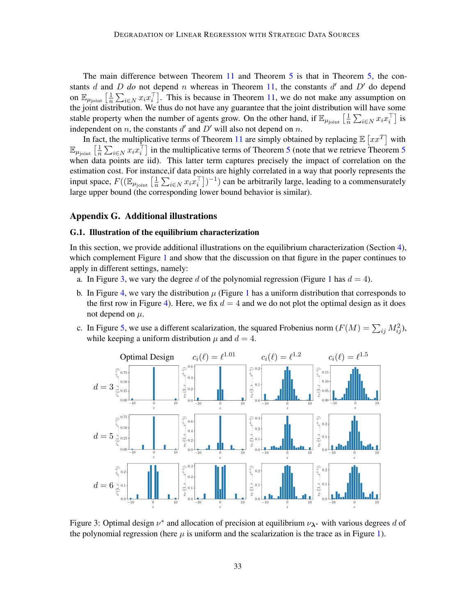The main difference between Theorem [11](#page-31-4) and Theorem [5](#page-9-0) is that in Theorem [5,](#page-9-0) the constants  $d$  and  $D$   $do$  not depend  $n$  whereas in Theorem [11,](#page-31-4) the constants  $d'$  and  $D'$  do depend on  $\mathbb{E}_{\mu_{\mathrm{joint}}} \left[ \frac{1}{n} \right]$  $\frac{1}{n} \sum_{i \in N} x_i x_i^{\top}$ . This is because in Theorem [11,](#page-31-4) we do not make any assumption on the joint distribution. We thus do not have any guarantee that the joint distribution will have some stable property when the number of agents grow. On the other hand, if  $\mathbb{E}_{\mu_{\text{joint}}}$   $\left[\frac{1}{n}\right]$  $\frac{1}{n}\sum_{i\in N}x_ix_i^\top\big]$  is independent on n, the constants  $d'$  and  $D'$  will also not depend on n.

In fact, the multiplicative terms of Theorem [11](#page-31-4) are simply obtained by replacing  $\mathbb{E}\left[xx^T\right]$  with  $\mathbb{E}_{\mu_{\text{joint}}}$   $\left[\frac{1}{n}\right]$  $\frac{1}{n} \sum_{i \in N} x_i x_i^{\top}$  in the multiplicative terms of Theorem [5](#page-9-0) (note that we retrieve Theorem 5 when data points are iid). This latter term captures precisely the impact of correlation on the estimation cost. For instance,if data points are highly correlated in a way that poorly represents the input space,  $F((\mathbb{E}_{\mu_{\text{joint}}}\left[\frac{1}{n}\right$  $\frac{1}{n} \sum_{i \in N} x_i x_i^{\top}$ ])<sup>-1</sup>) can be arbitrarily large, leading to a commensurately large upper bound (the corresponding lower bound behavior is similar).

#### <span id="page-32-0"></span>Appendix G. Additional illustrations

#### G.1. Illustration of the equilibrium characterization

In this section, we provide additional illustrations on the equilibrium characterization (Section [4\)](#page-7-0), which complement Figure [1](#page-8-1) and show that the discussion on that figure in the paper continues to apply in different settings, namely:

- a. In Figure [3,](#page-32-1) we vary the degree d of the polynomial regression (Figure [1](#page-8-1) has  $d = 4$ ).
- b. In Figure [4,](#page-33-0) we vary the distribution  $\mu$  (Figure [1](#page-8-1) has a uniform distribution that corresponds to the first row in Figure [4\)](#page-33-0). Here, we fix  $d = 4$  and we do not plot the optimal design as it does not depend on  $\mu$ .
- c. In Figure [5,](#page-34-0) we use a different scalarization, the squared Frobenius norm  $(F(M) = \sum_{ij} M_{ij}^2)$ , while keeping a uniform distribution  $\mu$  and  $d = 4$ .

<span id="page-32-1"></span>

Figure 3: Optimal design  $\nu^*$  and allocation of precision at equilibrium  $\nu_{\lambda^*}$  with various degrees d of the polynomial regression (here  $\mu$  is uniform and the scalarization is the trace as in Figure [1\)](#page-8-1).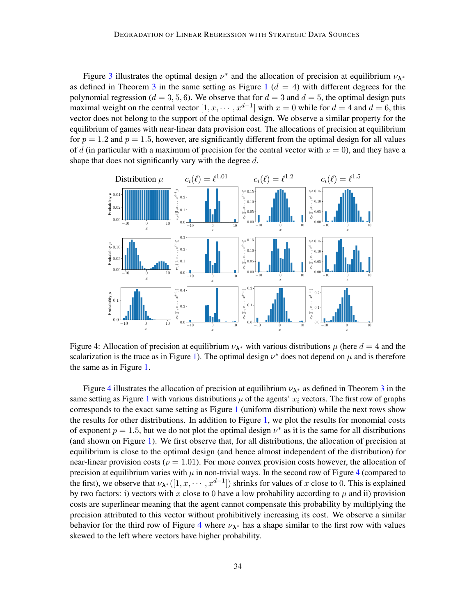Figure [3](#page-32-1) illustrates the optimal design  $\nu^*$  and the allocation of precision at equilibrium  $\nu_{\lambda^*}$ as defined in Theorem [3](#page-7-3) in the same setting as Figure [1](#page-8-1)  $(d = 4)$  with different degrees for the polynomial regression ( $d = 3, 5, 6$ ). We observe that for  $d = 3$  and  $d = 5$ , the optimal design puts maximal weight on the central vector  $[1, x, \dots, x^{d-1}]$  with  $x = 0$  while for  $d = 4$  and  $d = 6$ , this vector does not belong to the support of the optimal design. We observe a similar property for the equilibrium of games with near-linear data provision cost. The allocations of precision at equilibrium for  $p = 1.2$  and  $p = 1.5$ , however, are significantly different from the optimal design for all values of d (in particular with a maximum of precision for the central vector with  $x = 0$ ), and they have a shape that does not significantly vary with the degree d.

<span id="page-33-0"></span>

Figure 4: Allocation of precision at equilibrium  $\nu_{\lambda^*}$  with various distributions  $\mu$  (here  $d = 4$  and the scalarization is the trace as in Figure [1\)](#page-8-1). The optimal design  $\nu^*$  does not depend on  $\mu$  and is therefore the same as in Figure [1.](#page-8-1)

Figure [4](#page-33-0) illustrates the allocation of precision at equilibrium  $\nu_{\lambda^*}$  as defined in Theorem [3](#page-7-3) in the same setting as Figure [1](#page-8-1) with various distributions  $\mu$  of the agents'  $x_i$  vectors. The first row of graphs corresponds to the exact same setting as Figure [1](#page-8-1) (uniform distribution) while the next rows show the results for other distributions. In addition to Figure [1,](#page-8-1) we plot the results for monomial costs of exponent  $p = 1.5$ , but we do not plot the optimal design  $\nu^*$  as it is the same for all distributions (and shown on Figure [1\)](#page-8-1). We first observe that, for all distributions, the allocation of precision at equilibrium is close to the optimal design (and hence almost independent of the distribution) for near-linear provision costs ( $p = 1.01$ ). For more convex provision costs however, the allocation of precision at equilibrium varies with  $\mu$  in non-trivial ways. In the second row of Figure [4](#page-33-0) (compared to the first), we observe that  $\nu_{\lambda^*}([1, x, \dots, x^{d-1}])$  shrinks for values of x close to 0. This is explained by two factors: i) vectors with x close to 0 have a low probability according to  $\mu$  and ii) provision costs are superlinear meaning that the agent cannot compensate this probability by multiplying the precision attributed to this vector without prohibitively increasing its cost. We observe a similar behavior for the third row of Figure [4](#page-33-0) where  $\nu_{\lambda^*}$  has a shape similar to the first row with values skewed to the left where vectors have higher probability.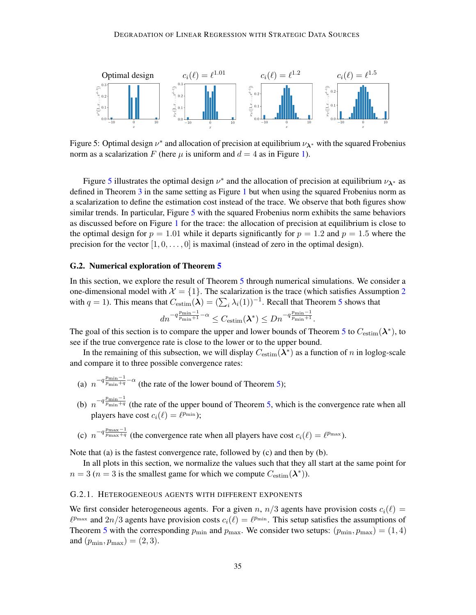<span id="page-34-0"></span>

Figure 5: Optimal design  $\nu^*$  and allocation of precision at equilibrium  $\nu_{\lambda^*}$  with the squared Frobenius norm as a scalarization F (here  $\mu$  is uniform and  $d = 4$  as in Figure [1\)](#page-8-1).

Figure [5](#page-34-0) illustrates the optimal design  $\nu^*$  and the allocation of precision at equilibrium  $\nu_{\lambda^*}$  as defined in Theorem [3](#page-7-3) in the same setting as Figure [1](#page-8-1) but when using the squared Frobenius norm as a scalarization to define the estimation cost instead of the trace. We observe that both figures show similar trends. In particular, Figure [5](#page-34-0) with the squared Frobenius norm exhibits the same behaviors as discussed before on Figure [1](#page-8-1) for the trace: the allocation of precision at equilibrium is close to the optimal design for  $p = 1.01$  while it departs significantly for  $p = 1.2$  and  $p = 1.5$  where the precision for the vector  $[1, 0, \ldots, 0]$  is maximal (instead of zero in the optimal design).

#### G.2. Numerical exploration of Theorem [5](#page-9-0)

In this section, we explore the result of Theorem [5](#page-9-0) through numerical simulations. We consider a one-dimensional model with  $\mathcal{X} = \{1\}$ . The scalarization is the trace (which satisfies Assumption [2](#page-5-2)) with  $q = 1$ ). This means that  $C_{estim}(\lambda) = (\sum_i \lambda_i(1))^{-1}$ . Recall that Theorem [5](#page-9-0) shows that

$$
d n^{-q\frac{p_{\min}-1}{p_{\min}+1}-\alpha}\leq C_{\text{estim}}(\boldsymbol{\lambda}^*)\leq D n^{-q\frac{p_{\min}-1}{p_{\min}+1}}.
$$

The goal of this section is to compare the upper and lower bounds of Theorem [5](#page-9-0) to  $C_{estim}(\lambda^*)$ , to see if the true convergence rate is close to the lower or to the upper bound.

In the remaining of this subsection, we will display  $C_{\text{estim}}(\lambda^*)$  as a function of n in loglog-scale and compare it to three possible convergence rates:

- (a)  $n^{-q \frac{p_{\text{min}}-1}{p_{\text{min}}+q}-\alpha}$  (the rate of the lower bound of Theorem [5\)](#page-9-0);
- (b)  $n^{-q \frac{p_{\min}-1}{p_{\min}+q}}$  (the rate of the upper bound of Theorem [5,](#page-9-0) which is the convergence rate when all players have cost  $c_i(\ell) = \ell^{p_{\min}}$ ;
- (c)  $n^{-q \frac{p_{\text{max}}-1}{p_{\text{max}}+q}}$  (the convergence rate when all players have cost  $c_i(\ell) = \ell^{p_{\text{max}}}$ ).

Note that (a) is the fastest convergence rate, followed by (c) and then by (b).

In all plots in this section, we normalize the values such that they all start at the same point for  $n = 3$  ( $n = 3$  is the smallest game for which we compute  $C_{\text{estim}}(\lambda^*)$ ).

#### G.2.1. HETEROGENEOUS AGENTS WITH DIFFERENT EXPONENTS

We first consider heterogeneous agents. For a given n,  $n/3$  agents have provision costs  $c_i(\ell) =$  $\ell^{p_{\max}}$  and  $2n/3$  agents have provision costs  $c_i(\ell) = \ell^{p_{\min}}$ . This setup satisfies the assumptions of Theorem [5](#page-9-0) with the corresponding  $p_{\min}$  and  $p_{\max}$ . We consider two setups:  $(p_{\min}, p_{\max}) = (1, 4)$ and  $(p_{\min}, p_{\max}) = (2, 3)$ .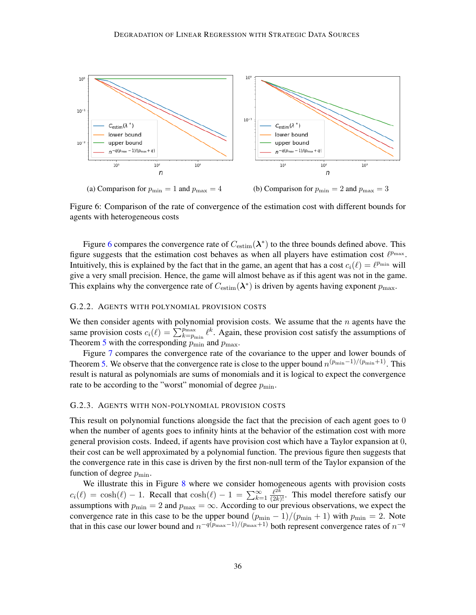<span id="page-35-0"></span>

Figure 6: Comparison of the rate of convergence of the estimation cost with different bounds for agents with heterogeneous costs

Figure [6](#page-35-0) compares the convergence rate of  $C_{\text{estim}}(\lambda^*)$  to the three bounds defined above. This figure suggests that the estimation cost behaves as when all players have estimation cost  $\ell^{p_{\max}}$ . Intuitively, this is explained by the fact that in the game, an agent that has a cost  $c_i(\ell) = \ell^{p_{\min}}$  will give a very small precision. Hence, the game will almost behave as if this agent was not in the game. This explains why the convergence rate of  $C_{\text{estim}}(\lambda^*)$  is driven by agents having exponent  $p_{\text{max}}$ .

#### G.2.2. AGENTS WITH POLYNOMIAL PROVISION COSTS

We then consider agents with polynomial provision costs. We assume that the  $n$  agents have the same provision costs  $c_i(\ell) = \sum_{k=p_{\min}}^{p_{\max}} \ell^k$ . Again, these provision cost satisfy the assumptions of Theorem [5](#page-9-0) with the corresponding  $\overline{p_{\min}}$  and  $p_{\max}$ .

Figure [7](#page-36-1) compares the convergence rate of the covariance to the upper and lower bounds of Theorem [5.](#page-9-0) We observe that the convergence rate is close to the upper bound  $n^{(p_{\min}-1)/(p_{\min}+1)}$ . This result is natural as polynomials are sums of monomials and it is logical to expect the convergence rate to be according to the "worst" monomial of degree  $p_{\min}$ .

#### G.2.3. AGENTS WITH NON-POLYNOMIAL PROVISION COSTS

This result on polynomial functions alongside the fact that the precision of each agent goes to 0 when the number of agents goes to infinity hints at the behavior of the estimation cost with more general provision costs. Indeed, if agents have provision cost which have a Taylor expansion at 0, their cost can be well approximated by a polynomial function. The previous figure then suggests that the convergence rate in this case is driven by the first non-null term of the Taylor expansion of the function of degree  $p_{\text{min}}$ .

We illustrate this in Figure [8](#page-36-2) where we consider homogeneous agents with provision costs  $c_i(\ell) = \cosh(\ell) - 1$ . Recall that  $\cosh(\ell) - 1 = \sum_{k=1}^{\infty} \frac{\ell^{2k}}{(2k)!}$ . This model therefore satisfy our assumptions with  $p_{\min} = 2$  and  $p_{\max} = \infty$ . According to our previous observations, we expect the convergence rate in this case to be the upper bound  $(p_{\min} - 1)/(p_{\min} + 1)$  with  $p_{\min} = 2$ . Note that in this case our lower bound and  $n^{-q(p_{\max}-1)/(p_{\max}+1)}$  both represent convergence rates of  $n^{-q}$